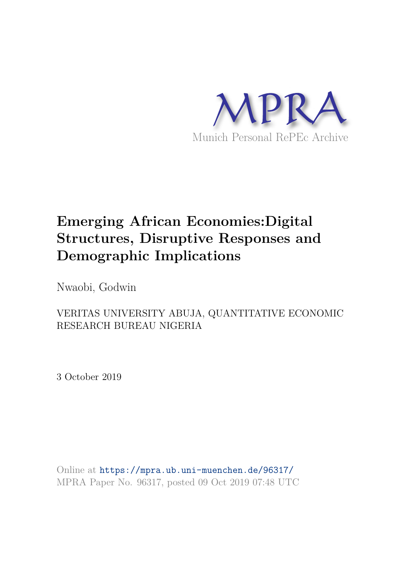

# **Emerging African Economies:Digital Structures, Disruptive Responses and Demographic Implications**

Nwaobi, Godwin

# VERITAS UNIVERSITY ABUJA, QUANTITATIVE ECONOMIC RESEARCH BUREAU NIGERIA

3 October 2019

Online at https://mpra.ub.uni-muenchen.de/96317/ MPRA Paper No. 96317, posted 09 Oct 2019 07:48 UTC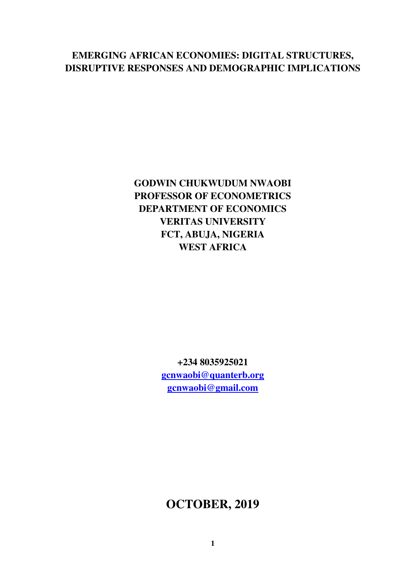# **EMERGING AFRICAN ECONOMIES: DIGITAL STRUCTURES, DISRUPTIVE RESPONSES AND DEMOGRAPHIC IMPLICATIONS**

# **GODWIN CHUKWUDUM NWAOBI PROFESSOR OF ECONOMETRICS DEPARTMENT OF ECONOMICS VERITAS UNIVERSITY FCT, ABUJA, NIGERIA WEST AFRICA**

**+234 8035925021 [gcnwaobi@quanterb.org](mailto:gcnwaobi@quanterb.org) [gcnwaobi@gmail.com](mailto:gcnwaobi@gmail.com)**

# **OCTOBER, 2019**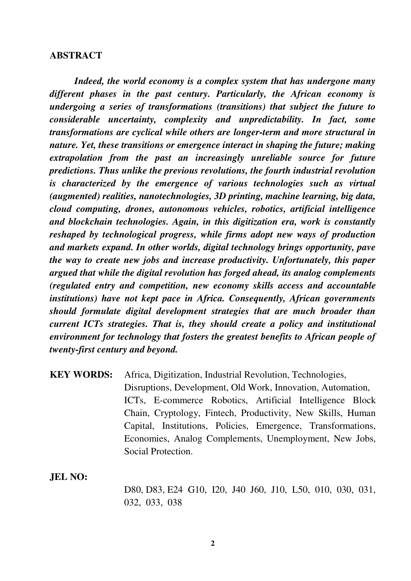#### **ABSTRACT**

*Indeed, the world economy is a complex system that has undergone many different phases in the past century. Particularly, the African economy is undergoing a series of transformations (transitions) that subject the future to considerable uncertainty, complexity and unpredictability. In fact, some transformations are cyclical while others are longer-term and more structural in nature. Yet, these transitions or emergence interact in shaping the future; making extrapolation from the past an increasingly unreliable source for future predictions. Thus unlike the previous revolutions, the fourth industrial revolution is characterized by the emergence of various technologies such as virtual (augmented) realities, nanotechnologies, 3D printing, machine learning, big data, cloud computing, drones, autonomous vehicles, robotics, artificial intelligence and blockchain technologies. Again, in this digitization era, work is constantly reshaped by technological progress, while firms adopt new ways of production and markets expand. In other worlds, digital technology brings opportunity, pave the way to create new jobs and increase productivity. Unfortunately, this paper argued that while the digital revolution has forged ahead, its analog complements (regulated entry and competition, new economy skills access and accountable institutions) have not kept pace in Africa. Consequently, African governments should formulate digital development strategies that are much broader than current ICTs strategies. That is, they should create a policy and institutional environment for technology that fosters the greatest benefits to African people of twenty-first century and beyond.* 

**KEY WORDS:** Africa, Digitization, Industrial Revolution, Technologies, Disruptions, Development, Old Work, Innovation, Automation, ICTs, E-commerce Robotics, Artificial Intelligence Block Chain, Cryptology, Fintech, Productivity, New Skills, Human Capital, Institutions, Policies, Emergence, Transformations, Economies, Analog Complements, Unemployment, New Jobs, Social Protection.

**JEL NO:** 

D80, D83, E24 G10, I20, J40 J60, J10, L50, 010, 030, 031, 032, 033, 038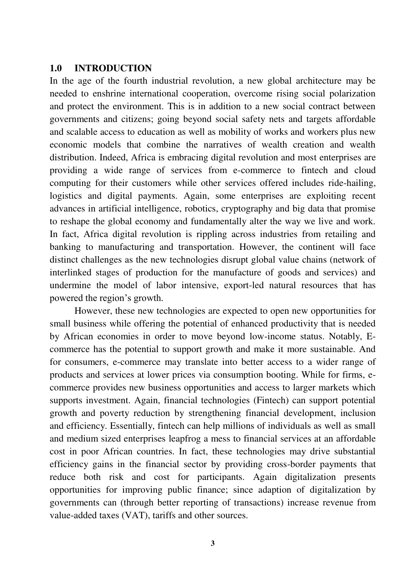#### **1.0 INTRODUCTION**

In the age of the fourth industrial revolution, a new global architecture may be needed to enshrine international cooperation, overcome rising social polarization and protect the environment. This is in addition to a new social contract between governments and citizens; going beyond social safety nets and targets affordable and scalable access to education as well as mobility of works and workers plus new economic models that combine the narratives of wealth creation and wealth distribution. Indeed, Africa is embracing digital revolution and most enterprises are providing a wide range of services from e-commerce to fintech and cloud computing for their customers while other services offered includes ride-hailing, logistics and digital payments. Again, some enterprises are exploiting recent advances in artificial intelligence, robotics, cryptography and big data that promise to reshape the global economy and fundamentally alter the way we live and work. In fact, Africa digital revolution is rippling across industries from retailing and banking to manufacturing and transportation. However, the continent will face distinct challenges as the new technologies disrupt global value chains (network of interlinked stages of production for the manufacture of goods and services) and undermine the model of labor intensive, export-led natural resources that has powered the region"s growth.

 However, these new technologies are expected to open new opportunities for small business while offering the potential of enhanced productivity that is needed by African economies in order to move beyond low-income status. Notably, Ecommerce has the potential to support growth and make it more sustainable. And for consumers, e-commerce may translate into better access to a wider range of products and services at lower prices via consumption booting. While for firms, ecommerce provides new business opportunities and access to larger markets which supports investment. Again, financial technologies (Fintech) can support potential growth and poverty reduction by strengthening financial development, inclusion and efficiency. Essentially, fintech can help millions of individuals as well as small and medium sized enterprises leapfrog a mess to financial services at an affordable cost in poor African countries. In fact, these technologies may drive substantial efficiency gains in the financial sector by providing cross-border payments that reduce both risk and cost for participants. Again digitalization presents opportunities for improving public finance; since adaption of digitalization by governments can (through better reporting of transactions) increase revenue from value-added taxes (VAT), tariffs and other sources.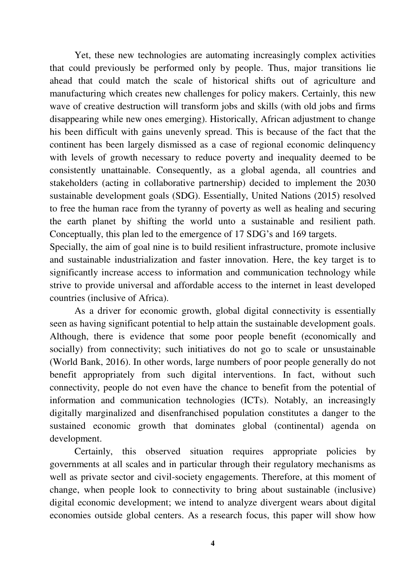Yet, these new technologies are automating increasingly complex activities that could previously be performed only by people. Thus, major transitions lie ahead that could match the scale of historical shifts out of agriculture and manufacturing which creates new challenges for policy makers. Certainly, this new wave of creative destruction will transform jobs and skills (with old jobs and firms disappearing while new ones emerging). Historically, African adjustment to change his been difficult with gains unevenly spread. This is because of the fact that the continent has been largely dismissed as a case of regional economic delinquency with levels of growth necessary to reduce poverty and inequality deemed to be consistently unattainable. Consequently, as a global agenda, all countries and stakeholders (acting in collaborative partnership) decided to implement the 2030 sustainable development goals (SDG). Essentially, United Nations (2015) resolved to free the human race from the tyranny of poverty as well as healing and securing the earth planet by shifting the world unto a sustainable and resilient path. Conceptually, this plan led to the emergence of 17 SDG"s and 169 targets.

Specially, the aim of goal nine is to build resilient infrastructure, promote inclusive and sustainable industrialization and faster innovation. Here, the key target is to significantly increase access to information and communication technology while strive to provide universal and affordable access to the internet in least developed countries (inclusive of Africa).

 As a driver for economic growth, global digital connectivity is essentially seen as having significant potential to help attain the sustainable development goals. Although, there is evidence that some poor people benefit (economically and socially) from connectivity; such initiatives do not go to scale or unsustainable (World Bank, 2016). In other words, large numbers of poor people generally do not benefit appropriately from such digital interventions. In fact, without such connectivity, people do not even have the chance to benefit from the potential of information and communication technologies (ICTs). Notably, an increasingly digitally marginalized and disenfranchised population constitutes a danger to the sustained economic growth that dominates global (continental) agenda on development.

 Certainly, this observed situation requires appropriate policies by governments at all scales and in particular through their regulatory mechanisms as well as private sector and civil-society engagements. Therefore, at this moment of change, when people look to connectivity to bring about sustainable (inclusive) digital economic development; we intend to analyze divergent wears about digital economies outside global centers. As a research focus, this paper will show how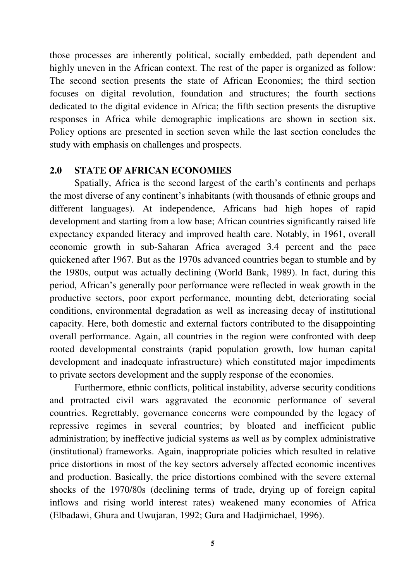those processes are inherently political, socially embedded, path dependent and highly uneven in the African context. The rest of the paper is organized as follow: The second section presents the state of African Economies; the third section focuses on digital revolution, foundation and structures; the fourth sections dedicated to the digital evidence in Africa; the fifth section presents the disruptive responses in Africa while demographic implications are shown in section six. Policy options are presented in section seven while the last section concludes the study with emphasis on challenges and prospects.

#### **2.0 STATE OF AFRICAN ECONOMIES**

Spatially, Africa is the second largest of the earth"s continents and perhaps the most diverse of any continent"s inhabitants (with thousands of ethnic groups and different languages). At independence, Africans had high hopes of rapid development and starting from a low base; African countries significantly raised life expectancy expanded literacy and improved health care. Notably, in 1961, overall economic growth in sub-Saharan Africa averaged 3.4 percent and the pace quickened after 1967. But as the 1970s advanced countries began to stumble and by the 1980s, output was actually declining (World Bank, 1989). In fact, during this period, African"s generally poor performance were reflected in weak growth in the productive sectors, poor export performance, mounting debt, deteriorating social conditions, environmental degradation as well as increasing decay of institutional capacity. Here, both domestic and external factors contributed to the disappointing overall performance. Again, all countries in the region were confronted with deep rooted developmental constraints (rapid population growth, low human capital development and inadequate infrastructure) which constituted major impediments to private sectors development and the supply response of the economies.

 Furthermore, ethnic conflicts, political instability, adverse security conditions and protracted civil wars aggravated the economic performance of several countries. Regrettably, governance concerns were compounded by the legacy of repressive regimes in several countries; by bloated and inefficient public administration; by ineffective judicial systems as well as by complex administrative (institutional) frameworks. Again, inappropriate policies which resulted in relative price distortions in most of the key sectors adversely affected economic incentives and production. Basically, the price distortions combined with the severe external shocks of the 1970/80s (declining terms of trade, drying up of foreign capital inflows and rising world interest rates) weakened many economies of Africa (Elbadawi, Ghura and Uwujaran, 1992; Gura and Hadjimichael, 1996).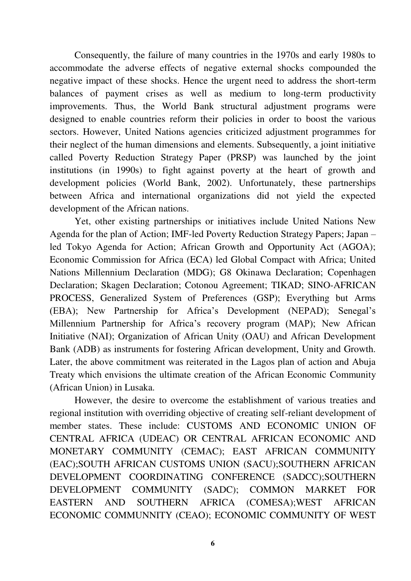Consequently, the failure of many countries in the 1970s and early 1980s to accommodate the adverse effects of negative external shocks compounded the negative impact of these shocks. Hence the urgent need to address the short-term balances of payment crises as well as medium to long-term productivity improvements. Thus, the World Bank structural adjustment programs were designed to enable countries reform their policies in order to boost the various sectors. However, United Nations agencies criticized adjustment programmes for their neglect of the human dimensions and elements. Subsequently, a joint initiative called Poverty Reduction Strategy Paper (PRSP) was launched by the joint institutions (in 1990s) to fight against poverty at the heart of growth and development policies (World Bank, 2002). Unfortunately, these partnerships between Africa and international organizations did not yield the expected development of the African nations.

 Yet, other existing partnerships or initiatives include United Nations New Agenda for the plan of Action; IMF-led Poverty Reduction Strategy Papers; Japan – led Tokyo Agenda for Action; African Growth and Opportunity Act (AGOA); Economic Commission for Africa (ECA) led Global Compact with Africa; United Nations Millennium Declaration (MDG); G8 Okinawa Declaration; Copenhagen Declaration; Skagen Declaration; Cotonou Agreement; TIKAD; SINO-AFRICAN PROCESS, Generalized System of Preferences (GSP); Everything but Arms (EBA); New Partnership for Africa's Development (NEPAD); Senegal's Millennium Partnership for Africa"s recovery program (MAP); New African Initiative (NAI); Organization of African Unity (OAU) and African Development Bank (ADB) as instruments for fostering African development, Unity and Growth. Later, the above commitment was reiterated in the Lagos plan of action and Abuja Treaty which envisions the ultimate creation of the African Economic Community (African Union) in Lusaka.

 However, the desire to overcome the establishment of various treaties and regional institution with overriding objective of creating self-reliant development of member states. These include: CUSTOMS AND ECONOMIC UNION OF CENTRAL AFRICA (UDEAC) OR CENTRAL AFRICAN ECONOMIC AND MONETARY COMMUNITY (CEMAC); EAST AFRICAN COMMUNITY (EAC);SOUTH AFRICAN CUSTOMS UNION (SACU);SOUTHERN AFRICAN DEVELOPMENT COORDINATING CONFERENCE (SADCC);SOUTHERN DEVELOPMENT COMMUNITY (SADC); COMMON MARKET FOR EASTERN AND SOUTHERN AFRICA (COMESA);WEST AFRICAN ECONOMIC COMMUNNITY (CEAO); ECONOMIC COMMUNITY OF WEST

**6**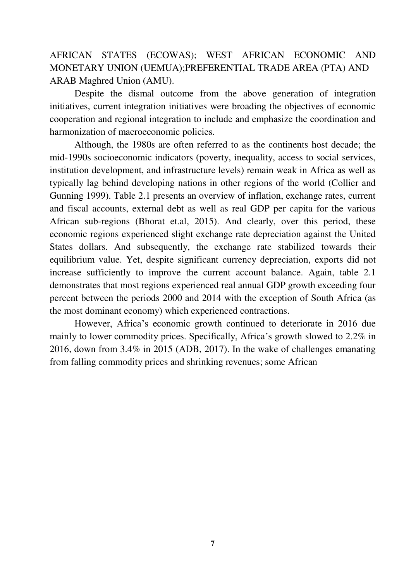AFRICAN STATES (ECOWAS); WEST AFRICAN ECONOMIC AND MONETARY UNION (UEMUA);PREFERENTIAL TRADE AREA (PTA) AND ARAB Maghred Union (AMU).

Despite the dismal outcome from the above generation of integration initiatives, current integration initiatives were broading the objectives of economic cooperation and regional integration to include and emphasize the coordination and harmonization of macroeconomic policies.

 Although, the 1980s are often referred to as the continents host decade; the mid-1990s socioeconomic indicators (poverty, inequality, access to social services, institution development, and infrastructure levels) remain weak in Africa as well as typically lag behind developing nations in other regions of the world (Collier and Gunning 1999). Table 2.1 presents an overview of inflation, exchange rates, current and fiscal accounts, external debt as well as real GDP per capita for the various African sub-regions (Bhorat et.al, 2015). And clearly, over this period, these economic regions experienced slight exchange rate depreciation against the United States dollars. And subsequently, the exchange rate stabilized towards their equilibrium value. Yet, despite significant currency depreciation, exports did not increase sufficiently to improve the current account balance. Again, table 2.1 demonstrates that most regions experienced real annual GDP growth exceeding four percent between the periods 2000 and 2014 with the exception of South Africa (as the most dominant economy) which experienced contractions.

However, Africa"s economic growth continued to deteriorate in 2016 due mainly to lower commodity prices. Specifically, Africa's growth slowed to 2.2% in 2016, down from 3.4% in 2015 (ADB, 2017). In the wake of challenges emanating from falling commodity prices and shrinking revenues; some African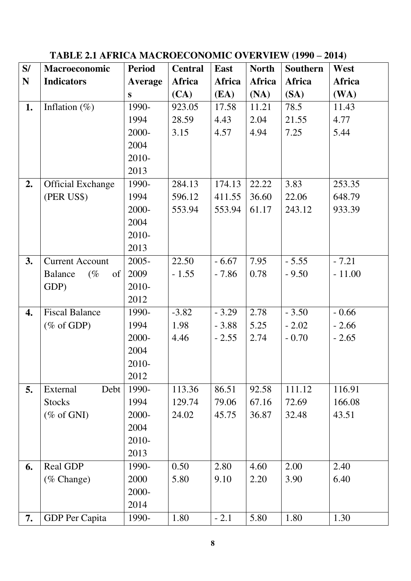# TABLE 2.1 AFRICA MACROECONOMIC OVERVIEW (1990 – 2014)

| S/        | Macroeconomic            | <b>Period</b>  | <b>Central</b> | East          | <b>North</b> | Southern      | West     |
|-----------|--------------------------|----------------|----------------|---------------|--------------|---------------|----------|
| ${\bf N}$ | <b>Indicators</b>        | <b>Average</b> | Africa         | <b>Africa</b> | Africa       | <b>Africa</b> | Africa   |
|           |                          | S              | (CA)           | (EA)          | (NA)         | (SA)          | (WA)     |
| 1.        | Inflation $(\%)$         | 1990-          | 923.05         | 17.58         | 11.21        | 78.5          | 11.43    |
|           |                          | 1994           | 28.59          | 4.43          | 2.04         | 21.55         | 4.77     |
|           |                          | 2000-          | 3.15           | 4.57          | 4.94         | 7.25          | 5.44     |
|           |                          | 2004           |                |               |              |               |          |
|           |                          | 2010-          |                |               |              |               |          |
|           |                          | 2013           |                |               |              |               |          |
| 2.        | <b>Official Exchange</b> | 1990-          | 284.13         | 174.13        | 22.22        | 3.83          | 253.35   |
|           | (PER US\$)               | 1994           | 596.12         | 411.55        | 36.60        | 22.06         | 648.79   |
|           |                          | 2000-          | 553.94         | 553.94        | 61.17        | 243.12        | 933.39   |
|           |                          | 2004           |                |               |              |               |          |
|           |                          | 2010-          |                |               |              |               |          |
|           |                          | 2013           |                |               |              |               |          |
| 3.        | <b>Current Account</b>   | $2005 -$       | 22.50          | $-6.67$       | 7.95         | $-5.55$       | $-7.21$  |
|           | Balance<br>$(\%$<br>of   | 2009           | $-1.55$        | $-7.86$       | 0.78         | $-9.50$       | $-11.00$ |
|           | GDP)                     | 2010-          |                |               |              |               |          |
|           |                          | 2012           |                |               |              |               |          |
| 4.        | <b>Fiscal Balance</b>    | 1990-          | $-3.82$        | $-3.29$       | 2.78         | $-3.50$       | $-0.66$  |
|           | $(\% \text{ of GDP})$    | 1994           | 1.98           | $-3.88$       | 5.25         | $-2.02$       | $-2.66$  |
|           |                          | 2000-          | 4.46           | $-2.55$       | 2.74         | $-0.70$       | $-2.65$  |
|           |                          | 2004           |                |               |              |               |          |
|           |                          | 2010-          |                |               |              |               |          |
|           |                          | 2012           |                |               |              |               |          |
| 5.        | External<br>Debt         | 1990-          | 113.36         | 86.51         | 92.58        | 111.12        | 116.91   |
|           | <b>Stocks</b>            | 1994           | 129.74         | 79.06         | 67.16        | 72.69         | 166.08   |
|           | $(\% \text{ of GNI})$    | 2000-          | 24.02          | 45.75         | 36.87        | 32.48         | 43.51    |
|           |                          | 2004           |                |               |              |               |          |
|           |                          | 2010-          |                |               |              |               |          |
|           |                          | 2013           |                |               |              |               |          |
| 6.        | Real GDP                 | 1990-          | 0.50           | 2.80          | 4.60         | 2.00          | 2.40     |
|           | (% Change)               | 2000           | 5.80           | 9.10          | 2.20         | 3.90          | 6.40     |
|           |                          | 2000-          |                |               |              |               |          |
|           |                          | 2014           |                |               |              |               |          |
| 7.        | <b>GDP</b> Per Capita    | 1990-          | 1.80           | $-2.1$        | 5.80         | 1.80          | 1.30     |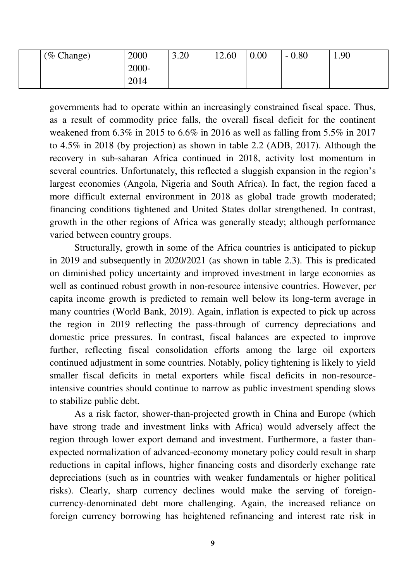| (% Change) | 2000  | 3.20 | 12.60 | 0.00 | $-0.80$ | 1.90 |
|------------|-------|------|-------|------|---------|------|
|            | 2000- |      |       |      |         |      |
|            | 2014  |      |       |      |         |      |

governments had to operate within an increasingly constrained fiscal space. Thus, as a result of commodity price falls, the overall fiscal deficit for the continent weakened from 6.3% in 2015 to 6.6% in 2016 as well as falling from 5.5% in 2017 to 4.5% in 2018 (by projection) as shown in table 2.2 (ADB, 2017). Although the recovery in sub-saharan Africa continued in 2018, activity lost momentum in several countries. Unfortunately, this reflected a sluggish expansion in the region's largest economies (Angola, Nigeria and South Africa). In fact, the region faced a more difficult external environment in 2018 as global trade growth moderated; financing conditions tightened and United States dollar strengthened. In contrast, growth in the other regions of Africa was generally steady; although performance varied between country groups.

 Structurally, growth in some of the Africa countries is anticipated to pickup in 2019 and subsequently in 2020/2021 (as shown in table 2.3). This is predicated on diminished policy uncertainty and improved investment in large economies as well as continued robust growth in non-resource intensive countries. However, per capita income growth is predicted to remain well below its long-term average in many countries (World Bank, 2019). Again, inflation is expected to pick up across the region in 2019 reflecting the pass-through of currency depreciations and domestic price pressures. In contrast, fiscal balances are expected to improve further, reflecting fiscal consolidation efforts among the large oil exporters continued adjustment in some countries. Notably, policy tightening is likely to yield smaller fiscal deficits in metal exporters while fiscal deficits in non-resourceintensive countries should continue to narrow as public investment spending slows to stabilize public debt.

 As a risk factor, shower-than-projected growth in China and Europe (which have strong trade and investment links with Africa) would adversely affect the region through lower export demand and investment. Furthermore, a faster thanexpected normalization of advanced-economy monetary policy could result in sharp reductions in capital inflows, higher financing costs and disorderly exchange rate depreciations (such as in countries with weaker fundamentals or higher political risks). Clearly, sharp currency declines would make the serving of foreigncurrency-denominated debt more challenging. Again, the increased reliance on foreign currency borrowing has heightened refinancing and interest rate risk in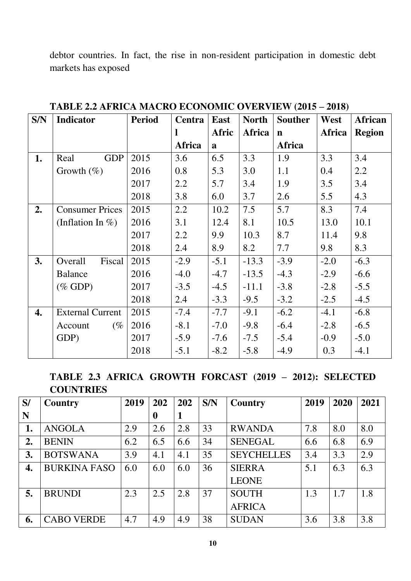debtor countries. In fact, the rise in non-resident participation in domestic debt markets has exposed

| S/N | <b>Indicator</b>        | <b>Period</b> | Centra | <b>East</b> | <b>North</b>  | <b>Souther</b> | West          | African       |
|-----|-------------------------|---------------|--------|-------------|---------------|----------------|---------------|---------------|
|     |                         |               |        | Afric       | <b>Africa</b> | $\mathbf n$    | <b>Africa</b> | <b>Region</b> |
|     |                         |               | Africa | a           |               | <b>Africa</b>  |               |               |
| 1.  | <b>GDP</b><br>Real      | 2015          | 3.6    | 6.5         | 3.3           | 1.9            | 3.3           | 3.4           |
|     | Growth $(\%)$           | 2016          | 0.8    | 5.3         | 3.0           | 1.1            | 0.4           | 2.2           |
|     |                         | 2017          | 2.2    | 5.7         | 3.4           | 1.9            | 3.5           | 3.4           |
|     |                         | 2018          | 3.8    | 6.0         | 3.7           | 2.6            | 5.5           | 4.3           |
| 2.  | <b>Consumer Prices</b>  | 2015          | 2.2    | 10.2        | 7.5           | 5.7            | 8.3           | 7.4           |
|     | (Inflation In $%$ )     | 2016          | 3.1    | 12.4        | 8.1           | 10.5           | 13.0          | 10.1          |
|     |                         | 2017          | 2.2    | 9.9         | 10.3          | 8.7            | 11.4          | 9.8           |
|     |                         | 2018          | 2.4    | 8.9         | 8.2           | 7.7            | 9.8           | 8.3           |
| 3.  | Overall<br>Fiscal       | 2015          | $-2.9$ | $-5.1$      | $-13.3$       | $-3.9$         | $-2.0$        | $-6.3$        |
|     | <b>Balance</b>          | 2016          | $-4.0$ | $-4.7$      | $-13.5$       | $-4.3$         | $-2.9$        | $-6.6$        |
|     | $(\%$ GDP)              | 2017          | $-3.5$ | $-4.5$      | $-11.1$       | $-3.8$         | $-2.8$        | $-5.5$        |
|     |                         | 2018          | 2.4    | $-3.3$      | $-9.5$        | $-3.2$         | $-2.5$        | $-4.5$        |
| 4.  | <b>External Current</b> | 2015          | $-7.4$ | $-7.7$      | $-9.1$        | $-6.2$         | $-4.1$        | $-6.8$        |
|     | $(\%$<br>Account        | 2016          | $-8.1$ | $-7.0$      | $-9.8$        | $-6.4$         | $-2.8$        | $-6.5$        |
|     | GDP)                    | 2017          | $-5.9$ | $-7.6$      | $-7.5$        | $-5.4$         | $-0.9$        | $-5.0$        |
|     |                         | 2018          | $-5.1$ | $-8.2$      | $-5.8$        | $-4.9$         | 0.3           | $-4.1$        |

TABLE 2.2 AFRICA MACRO ECONOMIC OVERVIEW (2015 - 2018)

**TABLE 2.3 AFRICA GROWTH FORCAST (2019 – 2012): SELECTED COUNTRIES** 

| S/ | <b>Country</b>      | 2019 | 202      | 202 | S/N | Country           | 2019 | 2020 | 2021 |
|----|---------------------|------|----------|-----|-----|-------------------|------|------|------|
| N  |                     |      | $\bf{0}$ | 1   |     |                   |      |      |      |
|    | <b>ANGOLA</b>       | 2.9  | 2.6      | 2.8 | 33  | <b>RWANDA</b>     | 7.8  | 8.0  | 8.0  |
| 2. | <b>BENIN</b>        | 6.2  | 6.5      | 6.6 | 34  | <b>SENEGAL</b>    | 6.6  | 6.8  | 6.9  |
| 3. | <b>BOTSWANA</b>     | 3.9  | 4.1      | 4.1 | 35  | <b>SEYCHELLES</b> | 3.4  | 3.3  | 2.9  |
| 4. | <b>BURKINA FASO</b> | 6.0  | 6.0      | 6.0 | 36  | <b>SIERRA</b>     | 5.1  | 6.3  | 6.3  |
|    |                     |      |          |     |     | <b>LEONE</b>      |      |      |      |
| 5. | <b>BRUNDI</b>       | 2.3  | 2.5      | 2.8 | 37  | <b>SOUTH</b>      | 1.3  | 1.7  | 1.8  |
|    |                     |      |          |     |     | <b>AFRICA</b>     |      |      |      |
| 6. | <b>CABO VERDE</b>   | 4.7  | 4.9      | 4.9 | 38  | <b>SUDAN</b>      | 3.6  | 3.8  | 3.8  |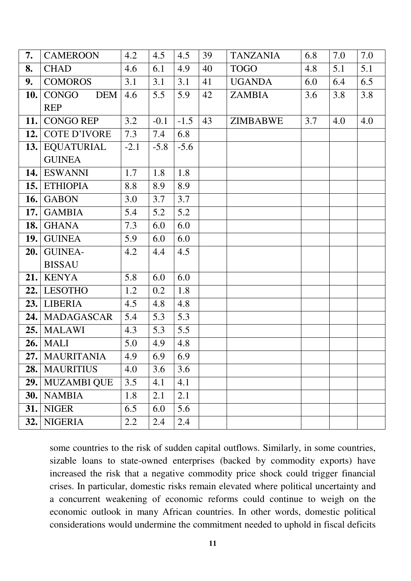| 7.   | <b>CAMEROON</b>     | 4.2    | 4.5    | 4.5    | 39 | <b>TANZANIA</b> | 6.8 | 7.0 | 7.0 |
|------|---------------------|--------|--------|--------|----|-----------------|-----|-----|-----|
| 8.   | <b>CHAD</b>         | 4.6    | 6.1    | 4.9    | 40 | <b>TOGO</b>     | 4.8 | 5.1 | 5.1 |
| 9.   | <b>COMOROS</b>      | 3.1    | 3.1    | 3.1    | 41 | <b>UGANDA</b>   | 6.0 | 6.4 | 6.5 |
| 10.  | CONGO<br>DEM        | 4.6    | 5.5    | 5.9    | 42 | ZAMBIA          | 3.6 | 3.8 | 3.8 |
|      | <b>REP</b>          |        |        |        |    |                 |     |     |     |
| 11.  | <b>CONGO REP</b>    | 3.2    | $-0.1$ | $-1.5$ | 43 | <b>ZIMBABWE</b> | 3.7 | 4.0 | 4.0 |
| 12.  | <b>COTE D'IVORE</b> | 7.3    | 7.4    | 6.8    |    |                 |     |     |     |
|      | 13. EQUATURIAL      | $-2.1$ | $-5.8$ | $-5.6$ |    |                 |     |     |     |
|      | <b>GUINEA</b>       |        |        |        |    |                 |     |     |     |
|      | 14. ESWANNI         | 1.7    | 1.8    | 1.8    |    |                 |     |     |     |
|      | 15. ETHIOPIA        | 8.8    | 8.9    | 8.9    |    |                 |     |     |     |
|      | <b>16.</b> GABON    | 3.0    | 3.7    | 3.7    |    |                 |     |     |     |
| 17.  | <b>GAMBIA</b>       | 5.4    | 5.2    | 5.2    |    |                 |     |     |     |
| 18.  | <b>GHANA</b>        | 7.3    | 6.0    | 6.0    |    |                 |     |     |     |
| 19.1 | <b>GUINEA</b>       | 5.9    | 6.0    | 6.0    |    |                 |     |     |     |
| 20.  | <b>GUINEA-</b>      | 4.2    | 4.4    | 4.5    |    |                 |     |     |     |
|      | <b>BISSAU</b>       |        |        |        |    |                 |     |     |     |
|      | $21.$ KENYA         | 5.8    | 6.0    | 6.0    |    |                 |     |     |     |
|      | 22. LESOTHO         | 1.2    | 0.2    | 1.8    |    |                 |     |     |     |
|      | 23. LIBERIA         | 4.5    | 4.8    | 4.8    |    |                 |     |     |     |
| 24.  | <b>MADAGASCAR</b>   | 5.4    | 5.3    | 5.3    |    |                 |     |     |     |
|      | $25.$ MALAWI        | 4.3    | 5.3    | 5.5    |    |                 |     |     |     |
|      | <b>26.</b> MALI     | 5.0    | 4.9    | 4.8    |    |                 |     |     |     |
|      | 27.   MAURITANIA    | 4.9    | 6.9    | 6.9    |    |                 |     |     |     |
| 28.  | <b>MAURITIUS</b>    | 4.0    | 3.6    | 3.6    |    |                 |     |     |     |
| 29.  | <b>MUZAMBI QUE</b>  | 3.5    | 4.1    | 4.1    |    |                 |     |     |     |
| 30.  | <b>NAMBIA</b>       | 1.8    | 2.1    | 2.1    |    |                 |     |     |     |
| 31.  | <b>NIGER</b>        | 6.5    | 6.0    | 5.6    |    |                 |     |     |     |
| 32.  | <b>NIGERIA</b>      | 2.2    | 2.4    | 2.4    |    |                 |     |     |     |

some countries to the risk of sudden capital outflows. Similarly, in some countries, sizable loans to state-owned enterprises (backed by commodity exports) have increased the risk that a negative commodity price shock could trigger financial crises. In particular, domestic risks remain elevated where political uncertainty and a concurrent weakening of economic reforms could continue to weigh on the economic outlook in many African countries. In other words, domestic political considerations would undermine the commitment needed to uphold in fiscal deficits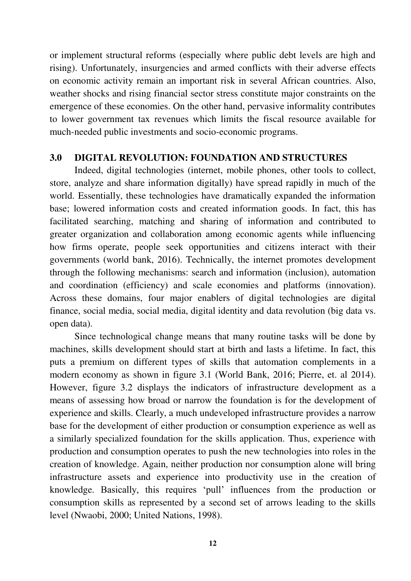or implement structural reforms (especially where public debt levels are high and rising). Unfortunately, insurgencies and armed conflicts with their adverse effects on economic activity remain an important risk in several African countries. Also, weather shocks and rising financial sector stress constitute major constraints on the emergence of these economies. On the other hand, pervasive informality contributes to lower government tax revenues which limits the fiscal resource available for much-needed public investments and socio-economic programs.

#### **3.0 DIGITAL REVOLUTION: FOUNDATION AND STRUCTURES**

Indeed, digital technologies (internet, mobile phones, other tools to collect, store, analyze and share information digitally) have spread rapidly in much of the world. Essentially, these technologies have dramatically expanded the information base; lowered information costs and created information goods. In fact, this has facilitated searching, matching and sharing of information and contributed to greater organization and collaboration among economic agents while influencing how firms operate, people seek opportunities and citizens interact with their governments (world bank, 2016). Technically, the internet promotes development through the following mechanisms: search and information (inclusion), automation and coordination (efficiency) and scale economies and platforms (innovation). Across these domains, four major enablers of digital technologies are digital finance, social media, social media, digital identity and data revolution (big data vs. open data).

 Since technological change means that many routine tasks will be done by machines, skills development should start at birth and lasts a lifetime. In fact, this puts a premium on different types of skills that automation complements in a modern economy as shown in figure 3.1 (World Bank, 2016; Pierre, et. al 2014). However, figure 3.2 displays the indicators of infrastructure development as a means of assessing how broad or narrow the foundation is for the development of experience and skills. Clearly, a much undeveloped infrastructure provides a narrow base for the development of either production or consumption experience as well as a similarly specialized foundation for the skills application. Thus, experience with production and consumption operates to push the new technologies into roles in the creation of knowledge. Again, neither production nor consumption alone will bring infrastructure assets and experience into productivity use in the creation of knowledge. Basically, this requires "pull" influences from the production or consumption skills as represented by a second set of arrows leading to the skills level (Nwaobi, 2000; United Nations, 1998).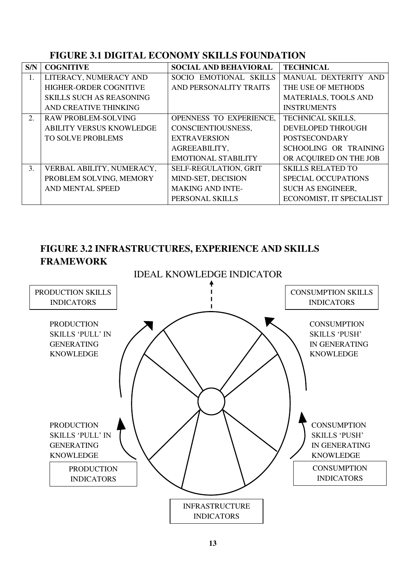### **FIGURE 3.1 DIGITAL ECONOMY SKILLS FOUNDATION**

| S/N | <b>COGNITIVE</b>                | <b>SOCIAL AND BEHAVIORAL</b> | <b>TECHNICAL</b>            |
|-----|---------------------------------|------------------------------|-----------------------------|
| 1.  | LITERACY, NUMERACY AND          | SOCIO EMOTIONAL SKILLS       | MANUAL DEXTERITY AND        |
|     | HIGHER-ORDER COGNITIVE          | AND PERSONALITY TRAITS       | THE USE OF METHODS          |
|     | <b>SKILLS SUCH AS REASONING</b> |                              | <b>MATERIALS, TOOLS AND</b> |
|     | AND CREATIVE THINKING           |                              | <b>INSTRUMENTS</b>          |
| 2.  | <b>RAW PROBLEM-SOLVING</b>      | OPENNESS TO EXPERIENCE.      | <b>TECHNICAL SKILLS,</b>    |
|     | <b>ABILITY VERSUS KNOWLEDGE</b> | CONSCIENTIOUSNESS,           | <b>DEVELOPED THROUGH</b>    |
|     | <b>TO SOLVE PROBLEMS</b>        | <b>EXTRAVERSION</b>          | <b>POSTSECONDARY</b>        |
|     |                                 | AGREEABILITY,                | SCHOOLING OR TRAINING       |
|     |                                 | <b>EMOTIONAL STABILITY</b>   | OR ACQUIRED ON THE JOB      |
| 3.  | VERBAL ABILITY, NUMERACY,       | SELF-REGULATION, GRIT        | <b>SKILLS RELATED TO</b>    |
|     | PROBLEM SOLVING, MEMORY         | MIND-SET, DECISION           | <b>SPECIAL OCCUPATIONS</b>  |
|     | AND MENTAL SPEED                | <b>MAKING AND INTE-</b>      | <b>SUCH AS ENGINEER,</b>    |
|     |                                 | PERSONAL SKILLS              | ECONOMIST, IT SPECIALIST    |

# **FIGURE 3.2 INFRASTRUCTURES, EXPERIENCE AND SKILLS FRAMEWORK**

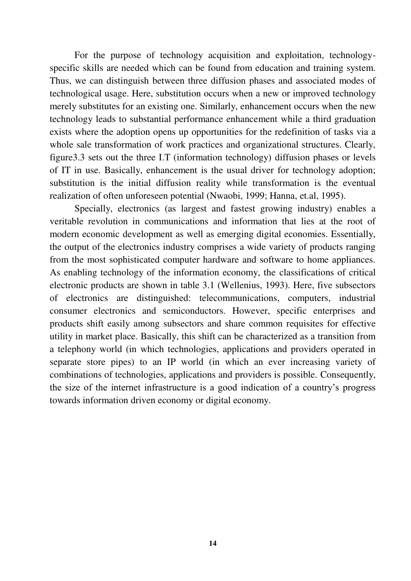For the purpose of technology acquisition and exploitation, technologyspecific skills are needed which can be found from education and training system. Thus, we can distinguish between three diffusion phases and associated modes of technological usage. Here, substitution occurs when a new or improved technology merely substitutes for an existing one. Similarly, enhancement occurs when the new technology leads to substantial performance enhancement while a third graduation exists where the adoption opens up opportunities for the redefinition of tasks via a whole sale transformation of work practices and organizational structures. Clearly, figure3.3 sets out the three I.T (information technology) diffusion phases or levels of IT in use. Basically, enhancement is the usual driver for technology adoption; substitution is the initial diffusion reality while transformation is the eventual realization of often unforeseen potential (Nwaobi, 1999; Hanna, et.al, 1995).

 Specially, electronics (as largest and fastest growing industry) enables a veritable revolution in communications and information that lies at the root of modern economic development as well as emerging digital economies. Essentially, the output of the electronics industry comprises a wide variety of products ranging from the most sophisticated computer hardware and software to home appliances. As enabling technology of the information economy, the classifications of critical electronic products are shown in table 3.1 (Wellenius, 1993). Here, five subsectors of electronics are distinguished: telecommunications, computers, industrial consumer electronics and semiconductors. However, specific enterprises and products shift easily among subsectors and share common requisites for effective utility in market place. Basically, this shift can be characterized as a transition from a telephony world (in which technologies, applications and providers operated in separate store pipes) to an IP world (in which an ever increasing variety of combinations of technologies, applications and providers is possible. Consequently, the size of the internet infrastructure is a good indication of a country"s progress towards information driven economy or digital economy.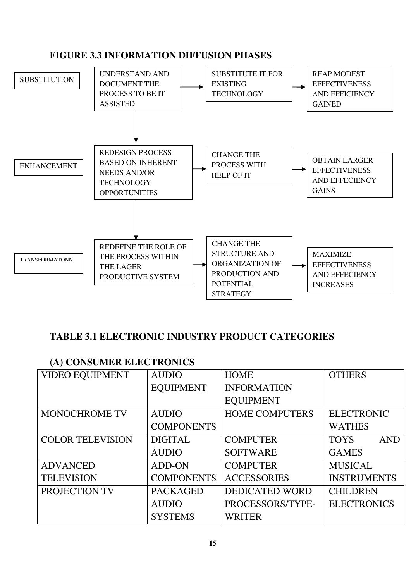### **FIGURE 3.3 INFORMATION DIFFUSION PHASES**



# **TABLE 3.1 ELECTRONIC INDUSTRY PRODUCT CATEGORIES**

### **(A) CONSUMER ELECTRONICS**

| <b>VIDEO EQUIPMENT</b>  | <b>AUDIO</b>      | <b>HOME</b>           | <b>OTHERS</b>             |  |
|-------------------------|-------------------|-----------------------|---------------------------|--|
|                         | <b>EQUIPMENT</b>  | <b>INFORMATION</b>    |                           |  |
|                         |                   | <b>EQUIPMENT</b>      |                           |  |
| <b>MONOCHROME TV</b>    | <b>AUDIO</b>      | <b>HOME COMPUTERS</b> | <b>ELECTRONIC</b>         |  |
|                         | <b>COMPONENTS</b> |                       | <b>WATHES</b>             |  |
| <b>COLOR TELEVISION</b> | <b>DIGITAL</b>    | <b>COMPUTER</b>       | <b>TOYS</b><br><b>AND</b> |  |
|                         | <b>AUDIO</b>      | <b>SOFTWARE</b>       | <b>GAMES</b>              |  |
| <b>ADVANCED</b>         | ADD-ON            | <b>COMPUTER</b>       | <b>MUSICAL</b>            |  |
| <b>TELEVISION</b>       | <b>COMPONENTS</b> | <b>ACCESSORIES</b>    | <b>INSTRUMENTS</b>        |  |
| PROJECTION TV           | <b>PACKAGED</b>   | <b>DEDICATED WORD</b> | <b>CHILDREN</b>           |  |
|                         | <b>AUDIO</b>      | PROCESSORS/TYPE-      | <b>ELECTRONICS</b>        |  |
|                         | <b>SYSTEMS</b>    | <b>WRITER</b>         |                           |  |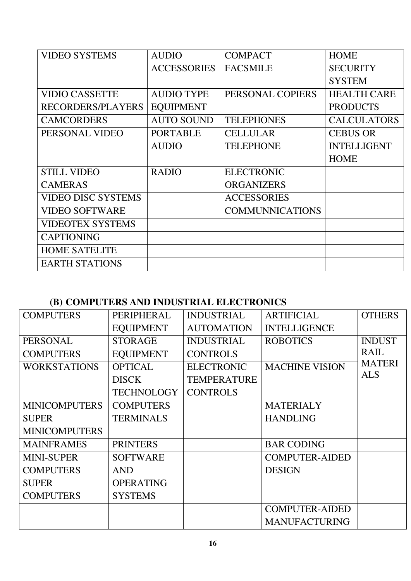| <b>VIDEO SYSTEMS</b>      | <b>AUDIO</b>       | <b>COMPACT</b>         | <b>HOME</b>        |
|---------------------------|--------------------|------------------------|--------------------|
|                           | <b>ACCESSORIES</b> | <b>FACSMILE</b>        | <b>SECURITY</b>    |
|                           |                    |                        | <b>SYSTEM</b>      |
| <b>VIDIO CASSETTE</b>     | <b>AUDIO TYPE</b>  | PERSONAL COPIERS       | <b>HEALTH CARE</b> |
| RECORDERS/PLAYERS         | <b>EQUIPMENT</b>   |                        | <b>PRODUCTS</b>    |
| <b>CAMCORDERS</b>         | <b>AUTO SOUND</b>  | <b>TELEPHONES</b>      | <b>CALCULATORS</b> |
| PERSONAL VIDEO            | <b>PORTABLE</b>    | <b>CELLULAR</b>        | <b>CEBUS OR</b>    |
|                           | <b>AUDIO</b>       | <b>TELEPHONE</b>       | <b>INTELLIGENT</b> |
|                           |                    |                        | <b>HOME</b>        |
| <b>STILL VIDEO</b>        | <b>RADIO</b>       | <b>ELECTRONIC</b>      |                    |
| <b>CAMERAS</b>            |                    | <b>ORGANIZERS</b>      |                    |
| <b>VIDEO DISC SYSTEMS</b> |                    | <b>ACCESSORIES</b>     |                    |
| <b>VIDEO SOFTWARE</b>     |                    | <b>COMMUNNICATIONS</b> |                    |
| <b>VIDEOTEX SYSTEMS</b>   |                    |                        |                    |
| <b>CAPTIONING</b>         |                    |                        |                    |
| <b>HOME SATELITE</b>      |                    |                        |                    |
| <b>EARTH STATIONS</b>     |                    |                        |                    |

# **(B) COMPUTERS AND INDUSTRIAL ELECTRONICS**

| <b>COMPUTERS</b>     | PERIPHERAL        | <b>INDUSTRIAL</b>  | <b>ARTIFICIAL</b>     | <b>OTHERS</b> |
|----------------------|-------------------|--------------------|-----------------------|---------------|
|                      | <b>EQUIPMENT</b>  | <b>AUTOMATION</b>  | <b>INTELLIGENCE</b>   |               |
| <b>PERSONAL</b>      | <b>STORAGE</b>    | <b>INDUSTRIAL</b>  | <b>ROBOTICS</b>       | <b>INDUST</b> |
| <b>COMPUTERS</b>     | <b>EQUIPMENT</b>  | <b>CONTROLS</b>    |                       | <b>RAIL</b>   |
| <b>WORKSTATIONS</b>  | <b>OPTICAL</b>    | <b>ELECTRONIC</b>  | <b>MACHINE VISION</b> | <b>MATERI</b> |
|                      | <b>DISCK</b>      | <b>TEMPERATURE</b> |                       | <b>ALS</b>    |
|                      | <b>TECHNOLOGY</b> | <b>CONTROLS</b>    |                       |               |
| <b>MINICOMPUTERS</b> | <b>COMPUTERS</b>  |                    | <b>MATERIALY</b>      |               |
| <b>SUPER</b>         | <b>TERMINALS</b>  |                    | <b>HANDLING</b>       |               |
| <b>MINICOMPUTERS</b> |                   |                    |                       |               |
| <b>MAINFRAMES</b>    | <b>PRINTERS</b>   |                    | <b>BAR CODING</b>     |               |
| <b>MINI-SUPER</b>    | <b>SOFTWARE</b>   |                    | <b>COMPUTER-AIDED</b> |               |
| <b>COMPUTERS</b>     | <b>AND</b>        |                    | <b>DESIGN</b>         |               |
| <b>SUPER</b>         | <b>OPERATING</b>  |                    |                       |               |
| <b>COMPUTERS</b>     | <b>SYSTEMS</b>    |                    |                       |               |
|                      |                   |                    | <b>COMPUTER-AIDED</b> |               |
|                      |                   |                    | <b>MANUFACTURING</b>  |               |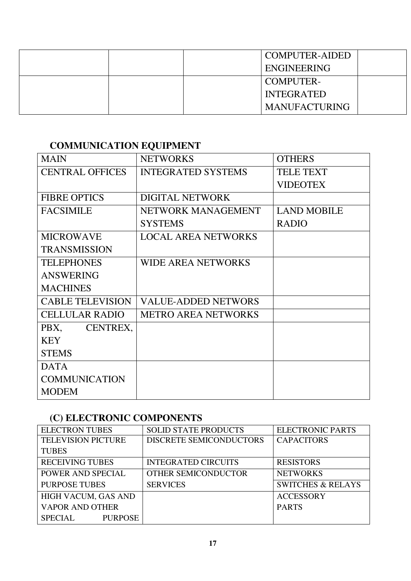| <b>COMPUTER-AIDED</b> |
|-----------------------|
| <b>ENGINEERING</b>    |
| <b>COMPUTER-</b>      |
| <b>INTEGRATED</b>     |
| <b>MANUFACTURING</b>  |

# **COMMUNICATION EQUIPMENT**

| <b>MAIN</b>             | <b>NETWORKS</b>            | <b>OTHERS</b>      |
|-------------------------|----------------------------|--------------------|
| <b>CENTRAL OFFICES</b>  | <b>INTEGRATED SYSTEMS</b>  | <b>TELE TEXT</b>   |
|                         |                            | <b>VIDEOTEX</b>    |
| <b>FIBRE OPTICS</b>     | <b>DIGITAL NETWORK</b>     |                    |
| <b>FACSIMILE</b>        | NETWORK MANAGEMENT         | <b>LAND MOBILE</b> |
|                         | <b>SYSTEMS</b>             | <b>RADIO</b>       |
| <b>MICROWAVE</b>        | <b>LOCAL AREA NETWORKS</b> |                    |
| <b>TRANSMISSION</b>     |                            |                    |
| <b>TELEPHONES</b>       | <b>WIDE AREA NETWORKS</b>  |                    |
| <b>ANSWERING</b>        |                            |                    |
| <b>MACHINES</b>         |                            |                    |
| <b>CABLE TELEVISION</b> | <b>VALUE-ADDED NETWORS</b> |                    |
| <b>CELLULAR RADIO</b>   | <b>METRO AREA NETWORKS</b> |                    |
| PBX, CENTREX,           |                            |                    |
| <b>KEY</b>              |                            |                    |
| <b>STEMS</b>            |                            |                    |
| <b>DATA</b>             |                            |                    |
| <b>COMMUNICATION</b>    |                            |                    |
| <b>MODEM</b>            |                            |                    |

# **(C) ELECTRONIC COMPONENTS**

| <b>ELECTRON TUBES</b>            | <b>SOLID STATE PRODUCTS</b> | <b>ELECTRONIC PARTS</b>      |  |
|----------------------------------|-----------------------------|------------------------------|--|
| <b>TELEVISION PICTURE</b>        | DISCRETE SEMICONDUCTORS     | <b>CAPACITORS</b>            |  |
| <b>TUBES</b>                     |                             |                              |  |
| <b>RECEIVING TUBES</b>           | <b>INTEGRATED CIRCUITS</b>  | <b>RESISTORS</b>             |  |
| POWER AND SPECIAL                | OTHER SEMICONDUCTOR         | <b>NETWORKS</b>              |  |
| <b>PURPOSE TUBES</b>             | <b>SERVICES</b>             | <b>SWITCHES &amp; RELAYS</b> |  |
| HIGH VACUM, GAS AND              |                             | <b>ACCESSORY</b>             |  |
| <b>VAPOR AND OTHER</b>           |                             | <b>PARTS</b>                 |  |
| <b>SPECIAL</b><br><b>PURPOSE</b> |                             |                              |  |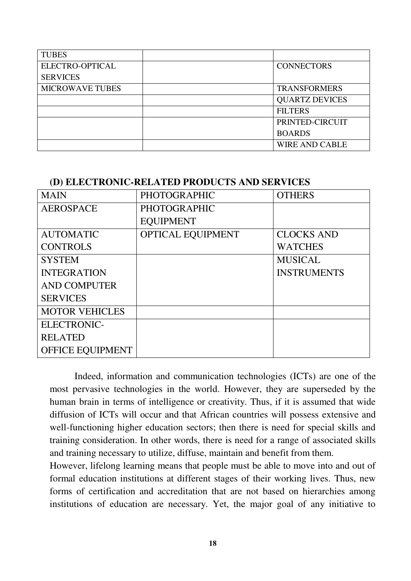| <b>TUBES</b>           |                       |
|------------------------|-----------------------|
| ELECTRO-OPTICAL        | <b>CONNECTORS</b>     |
| <b>SERVICES</b>        |                       |
| <b>MICROWAVE TUBES</b> | <b>TRANSFORMERS</b>   |
|                        | <b>QUARTZ DEVICES</b> |
|                        | <b>FILTERS</b>        |
|                        | PRINTED-CIRCUIT       |
|                        | <b>BOARDS</b>         |
|                        | <b>WIRE AND CABLE</b> |

#### **(D) ELECTRONIC-RELATED PRODUCTS AND SERVICES**

| <b>MAIN</b>             | <b>PHOTOGRAPHIC</b> | <b>OTHERS</b>      |
|-------------------------|---------------------|--------------------|
| <b>AEROSPACE</b>        | <b>PHOTOGRAPHIC</b> |                    |
|                         | <b>EQUIPMENT</b>    |                    |
| <b>AUTOMATIC</b>        | OPTICAL EQUIPMENT   | <b>CLOCKS AND</b>  |
| <b>CONTROLS</b>         |                     | <b>WATCHES</b>     |
| <b>SYSTEM</b>           |                     | <b>MUSICAL</b>     |
| <b>INTEGRATION</b>      |                     | <b>INSTRUMENTS</b> |
| <b>AND COMPUTER</b>     |                     |                    |
| <b>SERVICES</b>         |                     |                    |
| <b>MOTOR VEHICLES</b>   |                     |                    |
| <b>ELECTRONIC-</b>      |                     |                    |
| <b>RELATED</b>          |                     |                    |
| <b>OFFICE EQUIPMENT</b> |                     |                    |

 Indeed, information and communication technologies (ICTs) are one of the most pervasive technologies in the world. However, they are superseded by the human brain in terms of intelligence or creativity. Thus, if it is assumed that wide diffusion of ICTs will occur and that African countries will possess extensive and well-functioning higher education sectors; then there is need for special skills and training consideration. In other words, there is need for a range of associated skills and training necessary to utilize, diffuse, maintain and benefit from them.

However, lifelong learning means that people must be able to move into and out of formal education institutions at different stages of their working lives. Thus, new forms of certification and accreditation that are not based on hierarchies among institutions of education are necessary. Yet, the major goal of any initiative to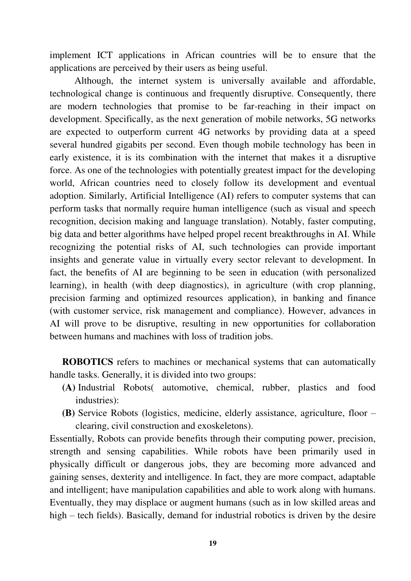implement ICT applications in African countries will be to ensure that the applications are perceived by their users as being useful.

 Although, the internet system is universally available and affordable, technological change is continuous and frequently disruptive. Consequently, there are modern technologies that promise to be far-reaching in their impact on development. Specifically, as the next generation of mobile networks, 5G networks are expected to outperform current 4G networks by providing data at a speed several hundred gigabits per second. Even though mobile technology has been in early existence, it is its combination with the internet that makes it a disruptive force. As one of the technologies with potentially greatest impact for the developing world, African countries need to closely follow its development and eventual adoption. Similarly, Artificial Intelligence (AI) refers to computer systems that can perform tasks that normally require human intelligence (such as visual and speech recognition, decision making and language translation). Notably, faster computing, big data and better algorithms have helped propel recent breakthroughs in AI. While recognizing the potential risks of AI, such technologies can provide important insights and generate value in virtually every sector relevant to development. In fact, the benefits of AI are beginning to be seen in education (with personalized learning), in health (with deep diagnostics), in agriculture (with crop planning, precision farming and optimized resources application), in banking and finance (with customer service, risk management and compliance). However, advances in AI will prove to be disruptive, resulting in new opportunities for collaboration between humans and machines with loss of tradition jobs.

**ROBOTICS** refers to machines or mechanical systems that can automatically handle tasks. Generally, it is divided into two groups:

- **(A)** Industrial Robots( automotive, chemical, rubber, plastics and food industries):
- **(B)** Service Robots (logistics, medicine, elderly assistance, agriculture, floor clearing, civil construction and exoskeletons).

Essentially, Robots can provide benefits through their computing power, precision, strength and sensing capabilities. While robots have been primarily used in physically difficult or dangerous jobs, they are becoming more advanced and gaining senses, dexterity and intelligence. In fact, they are more compact, adaptable and intelligent; have manipulation capabilities and able to work along with humans. Eventually, they may displace or augment humans (such as in low skilled areas and high – tech fields). Basically, demand for industrial robotics is driven by the desire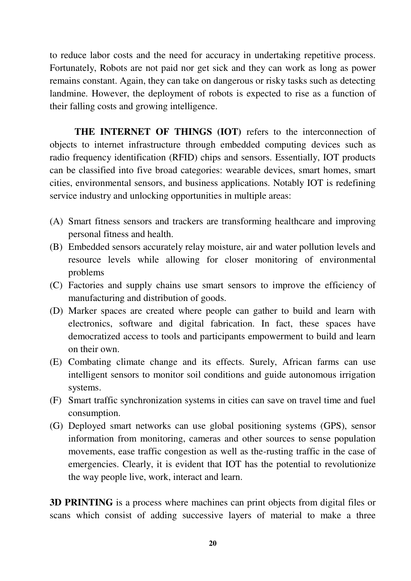to reduce labor costs and the need for accuracy in undertaking repetitive process. Fortunately, Robots are not paid nor get sick and they can work as long as power remains constant. Again, they can take on dangerous or risky tasks such as detecting landmine. However, the deployment of robots is expected to rise as a function of their falling costs and growing intelligence.

**THE INTERNET OF THINGS (IOT)** refers to the interconnection of objects to internet infrastructure through embedded computing devices such as radio frequency identification (RFID) chips and sensors. Essentially, IOT products can be classified into five broad categories: wearable devices, smart homes, smart cities, environmental sensors, and business applications. Notably IOT is redefining service industry and unlocking opportunities in multiple areas:

- (A) Smart fitness sensors and trackers are transforming healthcare and improving personal fitness and health.
- (B) Embedded sensors accurately relay moisture, air and water pollution levels and resource levels while allowing for closer monitoring of environmental problems
- (C) Factories and supply chains use smart sensors to improve the efficiency of manufacturing and distribution of goods.
- (D) Marker spaces are created where people can gather to build and learn with electronics, software and digital fabrication. In fact, these spaces have democratized access to tools and participants empowerment to build and learn on their own.
- (E) Combating climate change and its effects. Surely, African farms can use intelligent sensors to monitor soil conditions and guide autonomous irrigation systems.
- (F) Smart traffic synchronization systems in cities can save on travel time and fuel consumption.
- (G) Deployed smart networks can use global positioning systems (GPS), sensor information from monitoring, cameras and other sources to sense population movements, ease traffic congestion as well as the-rusting traffic in the case of emergencies. Clearly, it is evident that IOT has the potential to revolutionize the way people live, work, interact and learn.

**3D PRINTING** is a process where machines can print objects from digital files or scans which consist of adding successive layers of material to make a three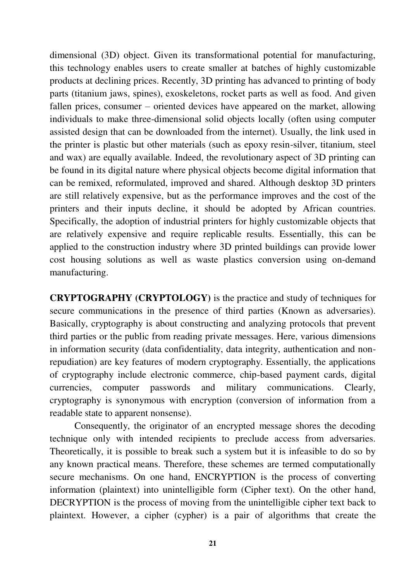dimensional (3D) object. Given its transformational potential for manufacturing, this technology enables users to create smaller at batches of highly customizable products at declining prices. Recently, 3D printing has advanced to printing of body parts (titanium jaws, spines), exoskeletons, rocket parts as well as food. And given fallen prices, consumer – oriented devices have appeared on the market, allowing individuals to make three-dimensional solid objects locally (often using computer assisted design that can be downloaded from the internet). Usually, the link used in the printer is plastic but other materials (such as epoxy resin-silver, titanium, steel and wax) are equally available. Indeed, the revolutionary aspect of 3D printing can be found in its digital nature where physical objects become digital information that can be remixed, reformulated, improved and shared. Although desktop 3D printers are still relatively expensive, but as the performance improves and the cost of the printers and their inputs decline, it should be adopted by African countries. Specifically, the adoption of industrial printers for highly customizable objects that are relatively expensive and require replicable results. Essentially, this can be applied to the construction industry where 3D printed buildings can provide lower cost housing solutions as well as waste plastics conversion using on-demand manufacturing.

**CRYPTOGRAPHY (CRYPTOLOGY)** is the practice and study of techniques for secure communications in the presence of third parties (Known as adversaries). Basically, cryptography is about constructing and analyzing protocols that prevent third parties or the public from reading private messages. Here, various dimensions in information security (data confidentiality, data integrity, authentication and nonrepudiation) are key features of modern cryptography. Essentially, the applications of cryptography include electronic commerce, chip-based payment cards, digital currencies, computer passwords and military communications. Clearly, cryptography is synonymous with encryption (conversion of information from a readable state to apparent nonsense).

Consequently, the originator of an encrypted message shores the decoding technique only with intended recipients to preclude access from adversaries. Theoretically, it is possible to break such a system but it is infeasible to do so by any known practical means. Therefore, these schemes are termed computationally secure mechanisms. On one hand, ENCRYPTION is the process of converting information (plaintext) into unintelligible form (Cipher text). On the other hand, DECRYPTION is the process of moving from the unintelligible cipher text back to plaintext. However, a cipher (cypher) is a pair of algorithms that create the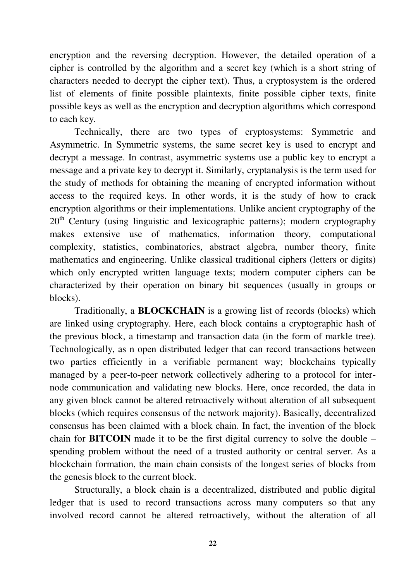encryption and the reversing decryption. However, the detailed operation of a cipher is controlled by the algorithm and a secret key (which is a short string of characters needed to decrypt the cipher text). Thus, a cryptosystem is the ordered list of elements of finite possible plaintexts, finite possible cipher texts, finite possible keys as well as the encryption and decryption algorithms which correspond to each key.

 Technically, there are two types of cryptosystems: Symmetric and Asymmetric. In Symmetric systems, the same secret key is used to encrypt and decrypt a message. In contrast, asymmetric systems use a public key to encrypt a message and a private key to decrypt it. Similarly, cryptanalysis is the term used for the study of methods for obtaining the meaning of encrypted information without access to the required keys. In other words, it is the study of how to crack encryption algorithms or their implementations. Unlike ancient cryptography of the  $20<sup>th</sup>$  Century (using linguistic and lexicographic patterns); modern cryptography makes extensive use of mathematics, information theory, computational complexity, statistics, combinatorics, abstract algebra, number theory, finite mathematics and engineering. Unlike classical traditional ciphers (letters or digits) which only encrypted written language texts; modern computer ciphers can be characterized by their operation on binary bit sequences (usually in groups or blocks).

 Traditionally, a **BLOCKCHAIN** is a growing list of records (blocks) which are linked using cryptography. Here, each block contains a cryptographic hash of the previous block, a timestamp and transaction data (in the form of markle tree). Technologically, as n open distributed ledger that can record transactions between two parties efficiently in a verifiable permanent way; blockchains typically managed by a peer-to-peer network collectively adhering to a protocol for internode communication and validating new blocks. Here, once recorded, the data in any given block cannot be altered retroactively without alteration of all subsequent blocks (which requires consensus of the network majority). Basically, decentralized consensus has been claimed with a block chain. In fact, the invention of the block chain for **BITCOIN** made it to be the first digital currency to solve the double – spending problem without the need of a trusted authority or central server. As a blockchain formation, the main chain consists of the longest series of blocks from the genesis block to the current block.

Structurally, a block chain is a decentralized, distributed and public digital ledger that is used to record transactions across many computers so that any involved record cannot be altered retroactively, without the alteration of all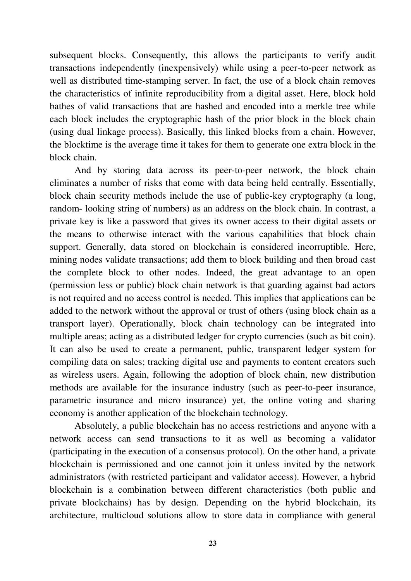subsequent blocks. Consequently, this allows the participants to verify audit transactions independently (inexpensively) while using a peer-to-peer network as well as distributed time-stamping server. In fact, the use of a block chain removes the characteristics of infinite reproducibility from a digital asset. Here, block hold bathes of valid transactions that are hashed and encoded into a merkle tree while each block includes the cryptographic hash of the prior block in the block chain (using dual linkage process). Basically, this linked blocks from a chain. However, the blocktime is the average time it takes for them to generate one extra block in the block chain.

And by storing data across its peer-to-peer network, the block chain eliminates a number of risks that come with data being held centrally. Essentially, block chain security methods include the use of public-key cryptography (a long, random- looking string of numbers) as an address on the block chain. In contrast, a private key is like a password that gives its owner access to their digital assets or the means to otherwise interact with the various capabilities that block chain support. Generally, data stored on blockchain is considered incorruptible. Here, mining nodes validate transactions; add them to block building and then broad cast the complete block to other nodes. Indeed, the great advantage to an open (permission less or public) block chain network is that guarding against bad actors is not required and no access control is needed. This implies that applications can be added to the network without the approval or trust of others (using block chain as a transport layer). Operationally, block chain technology can be integrated into multiple areas; acting as a distributed ledger for crypto currencies (such as bit coin). It can also be used to create a permanent, public, transparent ledger system for compiling data on sales; tracking digital use and payments to content creators such as wireless users. Again, following the adoption of block chain, new distribution methods are available for the insurance industry (such as peer-to-peer insurance, parametric insurance and micro insurance) yet, the online voting and sharing economy is another application of the blockchain technology.

Absolutely, a public blockchain has no access restrictions and anyone with a network access can send transactions to it as well as becoming a validator (participating in the execution of a consensus protocol). On the other hand, a private blockchain is permissioned and one cannot join it unless invited by the network administrators (with restricted participant and validator access). However, a hybrid blockchain is a combination between different characteristics (both public and private blockchains) has by design. Depending on the hybrid blockchain, its architecture, multicloud solutions allow to store data in compliance with general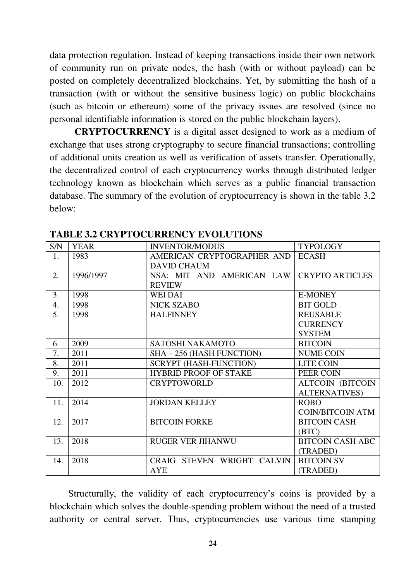data protection regulation. Instead of keeping transactions inside their own network of community run on private nodes, the hash (with or without payload) can be posted on completely decentralized blockchains. Yet, by submitting the hash of a transaction (with or without the sensitive business logic) on public blockchains (such as bitcoin or ethereum) some of the privacy issues are resolved (since no personal identifiable information is stored on the public blockchain layers).

**CRYPTOCURRENCY** is a digital asset designed to work as a medium of exchange that uses strong cryptography to secure financial transactions; controlling of additional units creation as well as verification of assets transfer. Operationally, the decentralized control of each cryptocurrency works through distributed ledger technology known as blockchain which serves as a public financial transaction database. The summary of the evolution of cryptocurrency is shown in the table 3.2 below:

| S/N | <b>YEAR</b> | <b>INVENTOR/MODUS</b>         | <b>TYPOLOGY</b>          |
|-----|-------------|-------------------------------|--------------------------|
| 1.  | 1983        | AMERICAN CRYPTOGRAPHER AND    | <b>ECASH</b>             |
|     |             | <b>DAVID CHAUM</b>            |                          |
| 2.  | 1996/1997   | NSA: MIT AND AMERICAN LAW     | <b>CRYPTO ARTICLES</b>   |
|     |             | <b>REVIEW</b>                 |                          |
| 3.  | 1998        | <b>WEI DAI</b>                | <b>E-MONEY</b>           |
| 4.  | 1998        | <b>NICK SZABO</b>             | <b>BIT GOLD</b>          |
| 5.  | 1998        | <b>HALFINNEY</b>              | <b>REUSABLE</b>          |
|     |             |                               | <b>CURRENCY</b>          |
|     |             |                               | <b>SYSTEM</b>            |
| 6.  | 2009        | SATOSHI NAKAMOTO              | <b>BITCOIN</b>           |
| 7.  | 2011        | SHA - 256 (HASH FUNCTION)     | <b>NUME COIN</b>         |
| 8.  | 2011        | <b>SCRYPT (HASH-FUNCTION)</b> | LITE COIN                |
| 9.  | 2011        | <b>HYBRID PROOF OF STAKE</b>  | PEER COIN                |
| 10. | 2012        | <b>CRYPTOWORLD</b>            | <b>ALTCOIN (BITCOIN)</b> |
|     |             |                               | <b>ALTERNATIVES)</b>     |
| 11. | 2014        | <b>JORDAN KELLEY</b>          | <b>ROBO</b>              |
|     |             |                               | <b>COIN/BITCOIN ATM</b>  |
| 12. | 2017        | <b>BITCOIN FORKE</b>          | <b>BITCOIN CASH</b>      |
|     |             |                               | (BTC)                    |
| 13. | 2018        | <b>RUGER VER JIHANWU</b>      | <b>BITCOIN CASH ABC</b>  |
|     |             |                               | (TRADED)                 |
| 14. | 2018        | CRAIG STEVEN WRIGHT CALVIN    | <b>BITCOIN SV</b>        |
|     |             | <b>AYE</b>                    | (TRADED)                 |

**TABLE 3.2 CRYPTOCURRENCY EVOLUTIONS**

Structurally, the validity of each cryptocurrency"s coins is provided by a blockchain which solves the double-spending problem without the need of a trusted authority or central server. Thus, cryptocurrencies use various time stamping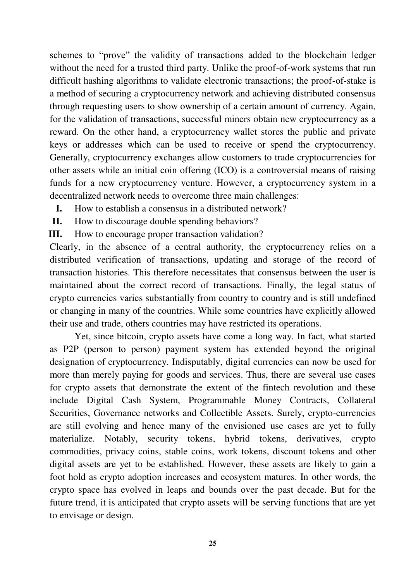schemes to "prove" the validity of transactions added to the blockchain ledger without the need for a trusted third party. Unlike the proof-of-work systems that run difficult hashing algorithms to validate electronic transactions; the proof-of-stake is a method of securing a cryptocurrency network and achieving distributed consensus through requesting users to show ownership of a certain amount of currency. Again, for the validation of transactions, successful miners obtain new cryptocurrency as a reward. On the other hand, a cryptocurrency wallet stores the public and private keys or addresses which can be used to receive or spend the cryptocurrency. Generally, cryptocurrency exchanges allow customers to trade cryptocurrencies for other assets while an initial coin offering (ICO) is a controversial means of raising funds for a new cryptocurrency venture. However, a cryptocurrency system in a decentralized network needs to overcome three main challenges:

- **I.** How to establish a consensus in a distributed network?
- **II.** How to discourage double spending behaviors?

**III.** How to encourage proper transaction validation?

Clearly, in the absence of a central authority, the cryptocurrency relies on a distributed verification of transactions, updating and storage of the record of transaction histories. This therefore necessitates that consensus between the user is maintained about the correct record of transactions. Finally, the legal status of crypto currencies varies substantially from country to country and is still undefined or changing in many of the countries. While some countries have explicitly allowed their use and trade, others countries may have restricted its operations.

 Yet, since bitcoin, crypto assets have come a long way. In fact, what started as P2P (person to person) payment system has extended beyond the original designation of cryptocurrency. Indisputably, digital currencies can now be used for more than merely paying for goods and services. Thus, there are several use cases for crypto assets that demonstrate the extent of the fintech revolution and these include Digital Cash System, Programmable Money Contracts, Collateral Securities, Governance networks and Collectible Assets. Surely, crypto-currencies are still evolving and hence many of the envisioned use cases are yet to fully materialize. Notably, security tokens, hybrid tokens, derivatives, crypto commodities, privacy coins, stable coins, work tokens, discount tokens and other digital assets are yet to be established. However, these assets are likely to gain a foot hold as crypto adoption increases and ecosystem matures. In other words, the crypto space has evolved in leaps and bounds over the past decade. But for the future trend, it is anticipated that crypto assets will be serving functions that are yet to envisage or design.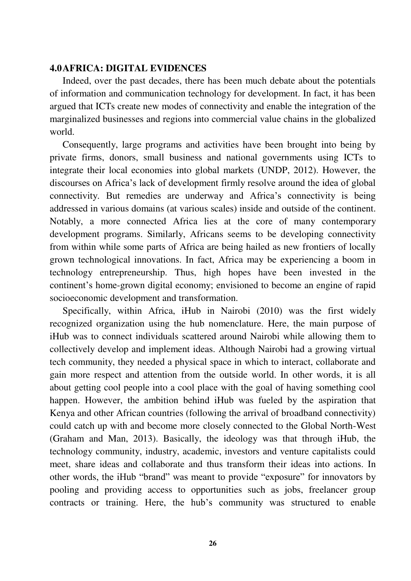#### **4.0AFRICA: DIGITAL EVIDENCES**

Indeed, over the past decades, there has been much debate about the potentials of information and communication technology for development. In fact, it has been argued that ICTs create new modes of connectivity and enable the integration of the marginalized businesses and regions into commercial value chains in the globalized world.

Consequently, large programs and activities have been brought into being by private firms, donors, small business and national governments using ICTs to integrate their local economies into global markets (UNDP, 2012). However, the discourses on Africa"s lack of development firmly resolve around the idea of global connectivity. But remedies are underway and Africa"s connectivity is being addressed in various domains (at various scales) inside and outside of the continent. Notably, a more connected Africa lies at the core of many contemporary development programs. Similarly, Africans seems to be developing connectivity from within while some parts of Africa are being hailed as new frontiers of locally grown technological innovations. In fact, Africa may be experiencing a boom in technology entrepreneurship. Thus, high hopes have been invested in the continent's home-grown digital economy; envisioned to become an engine of rapid socioeconomic development and transformation.

Specifically, within Africa, iHub in Nairobi (2010) was the first widely recognized organization using the hub nomenclature. Here, the main purpose of iHub was to connect individuals scattered around Nairobi while allowing them to collectively develop and implement ideas. Although Nairobi had a growing virtual tech community, they needed a physical space in which to interact, collaborate and gain more respect and attention from the outside world. In other words, it is all about getting cool people into a cool place with the goal of having something cool happen. However, the ambition behind iHub was fueled by the aspiration that Kenya and other African countries (following the arrival of broadband connectivity) could catch up with and become more closely connected to the Global North-West (Graham and Man, 2013). Basically, the ideology was that through iHub, the technology community, industry, academic, investors and venture capitalists could meet, share ideas and collaborate and thus transform their ideas into actions. In other words, the iHub "brand" was meant to provide "exposure" for innovators by pooling and providing access to opportunities such as jobs, freelancer group contracts or training. Here, the hub"s community was structured to enable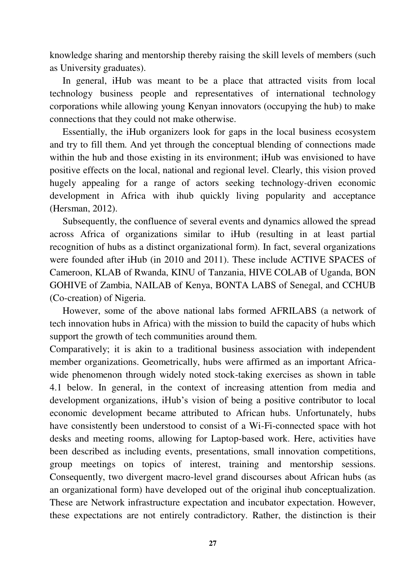knowledge sharing and mentorship thereby raising the skill levels of members (such as University graduates).

In general, iHub was meant to be a place that attracted visits from local technology business people and representatives of international technology corporations while allowing young Kenyan innovators (occupying the hub) to make connections that they could not make otherwise.

Essentially, the iHub organizers look for gaps in the local business ecosystem and try to fill them. And yet through the conceptual blending of connections made within the hub and those existing in its environment; iHub was envisioned to have positive effects on the local, national and regional level. Clearly, this vision proved hugely appealing for a range of actors seeking technology-driven economic development in Africa with ihub quickly living popularity and acceptance (Hersman, 2012).

Subsequently, the confluence of several events and dynamics allowed the spread across Africa of organizations similar to iHub (resulting in at least partial recognition of hubs as a distinct organizational form). In fact, several organizations were founded after iHub (in 2010 and 2011). These include ACTIVE SPACES of Cameroon, KLAB of Rwanda, KINU of Tanzania, HIVE COLAB of Uganda, BON GOHIVE of Zambia, NAILAB of Kenya, BONTA LABS of Senegal, and CCHUB (Co-creation) of Nigeria.

However, some of the above national labs formed AFRILABS (a network of tech innovation hubs in Africa) with the mission to build the capacity of hubs which support the growth of tech communities around them.

Comparatively; it is akin to a traditional business association with independent member organizations. Geometrically, hubs were affirmed as an important Africawide phenomenon through widely noted stock-taking exercises as shown in table 4.1 below. In general, in the context of increasing attention from media and development organizations, iHub"s vision of being a positive contributor to local economic development became attributed to African hubs. Unfortunately, hubs have consistently been understood to consist of a Wi-Fi-connected space with hot desks and meeting rooms, allowing for Laptop-based work. Here, activities have been described as including events, presentations, small innovation competitions, group meetings on topics of interest, training and mentorship sessions. Consequently, two divergent macro-level grand discourses about African hubs (as an organizational form) have developed out of the original ihub conceptualization. These are Network infrastructure expectation and incubator expectation. However, these expectations are not entirely contradictory. Rather, the distinction is their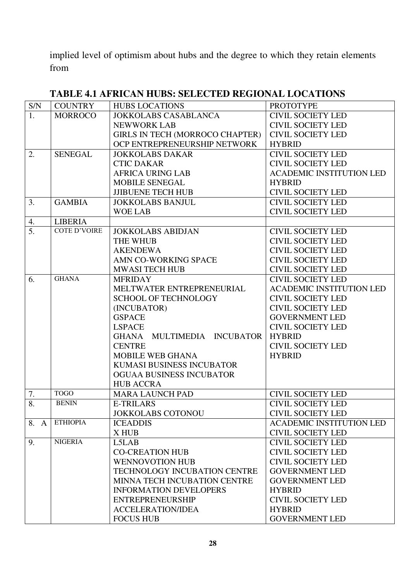implied level of optimism about hubs and the degree to which they retain elements from

| S/N              | <b>COUNTRY</b>      | <b>HUBS LOCATIONS</b>                  | <b>PROTOTYPE</b>                |  |
|------------------|---------------------|----------------------------------------|---------------------------------|--|
| 1.               | <b>MORROCO</b>      | <b>JOKKOLABS CASABLANCA</b>            | <b>CIVIL SOCIETY LED</b>        |  |
|                  |                     | <b>NEWWORK LAB</b>                     | <b>CIVIL SOCIETY LED</b>        |  |
|                  |                     | <b>GIRLS IN TECH (MORROCO CHAPTER)</b> | <b>CIVIL SOCIETY LED</b>        |  |
|                  |                     | OCP ENTREPRENEURSHIP NETWORK           | <b>HYBRID</b>                   |  |
| 2.               | <b>SENEGAL</b>      | <b>JOKKOLABS DAKAR</b>                 | <b>CIVIL SOCIETY LED</b>        |  |
|                  |                     | <b>CTIC DAKAR</b>                      | <b>CIVIL SOCIETY LED</b>        |  |
|                  |                     | <b>AFRICA URING LAB</b>                | <b>ACADEMIC INSTITUTION LED</b> |  |
|                  |                     | MOBILE SENEGAL                         | <b>HYBRID</b>                   |  |
|                  |                     | <b>JJIBUENE TECH HUB</b>               | <b>CIVIL SOCIETY LED</b>        |  |
| 3.               | <b>GAMBIA</b>       | <b>JOKKOLABS BANJUL</b>                | <b>CIVIL SOCIETY LED</b>        |  |
|                  |                     | <b>WOE LAB</b>                         | <b>CIVIL SOCIETY LED</b>        |  |
| 4.               | <b>LIBERIA</b>      |                                        |                                 |  |
| $\overline{5}$ . | <b>COTE D'VOIRE</b> | <b>JOKKOLABS ABIDJAN</b>               | <b>CIVIL SOCIETY LED</b>        |  |
|                  |                     | THE WHUB                               | <b>CIVIL SOCIETY LED</b>        |  |
|                  |                     | <b>AKENDEWA</b>                        | <b>CIVIL SOCIETY LED</b>        |  |
|                  |                     | AMN CO-WORKING SPACE                   | <b>CIVIL SOCIETY LED</b>        |  |
|                  |                     | <b>MWASI TECH HUB</b>                  | <b>CIVIL SOCIETY LED</b>        |  |
| 6.               | <b>GHANA</b>        | <b>MFRIDAY</b>                         | <b>CIVIL SOCIETY LED</b>        |  |
|                  |                     | MELTWATER ENTREPRENEURIAL              | <b>ACADEMIC INSTITUTION LED</b> |  |
|                  |                     | <b>SCHOOL OF TECHNOLOGY</b>            | <b>CIVIL SOCIETY LED</b>        |  |
|                  |                     | (INCUBATOR)                            | <b>CIVIL SOCIETY LED</b>        |  |
|                  |                     | <b>GSPACE</b>                          | <b>GOVERNMENT LED</b>           |  |
|                  |                     | <b>LSPACE</b>                          | <b>CIVIL SOCIETY LED</b>        |  |
|                  |                     | GHANA MULTIMEDIA INCUBATOR             | <b>HYBRID</b>                   |  |
|                  |                     | <b>CENTRE</b>                          | <b>CIVIL SOCIETY LED</b>        |  |
|                  |                     | <b>MOBILE WEB GHANA</b>                | <b>HYBRID</b>                   |  |
|                  |                     | KUMASI BUSINESS INCUBATOR              |                                 |  |
|                  |                     | <b>OGUAA BUSINESS INCUBATOR</b>        |                                 |  |
|                  |                     | <b>HUB ACCRA</b>                       |                                 |  |
| 7.               | <b>TOGO</b>         | <b>MARA LAUNCH PAD</b>                 | <b>CIVIL SOCIETY LED</b>        |  |
| 8.               | <b>BENIN</b>        | <b>E-TRILARS</b>                       | <b>CIVIL SOCIETY LED</b>        |  |
|                  |                     | <b>JOKKOLABS COTONOU</b>               | <b>CIVIL SOCIETY LED</b>        |  |
| 8. A             | <b>ETHIOPIA</b>     | <b>ICEADDIS</b>                        | <b>ACADEMIC INSTITUTION LED</b> |  |
|                  |                     | X HUB                                  | <b>CIVIL SOCIETY LED</b>        |  |
| 9.               | <b>NIGERIA</b>      | L5LAB                                  | <b>CIVIL SOCIETY LED</b>        |  |
|                  |                     | <b>CO-CREATION HUB</b>                 | <b>CIVIL SOCIETY LED</b>        |  |
|                  |                     | <b>WENNOVOTION HUB</b>                 | <b>CIVIL SOCIETY LED</b>        |  |
|                  |                     | <b>TECHNOLOGY INCUBATION CENTRE</b>    | <b>GOVERNMENT LED</b>           |  |
|                  |                     | MINNA TECH INCUBATION CENTRE           | <b>GOVERNMENT LED</b>           |  |
|                  |                     | <b>INFORMATION DEVELOPERS</b>          | <b>HYBRID</b>                   |  |
|                  |                     | <b>ENTREPRENEURSHIP</b>                | <b>CIVIL SOCIETY LED</b>        |  |
|                  |                     | <b>ACCELERATION/IDEA</b>               | <b>HYBRID</b>                   |  |
|                  |                     | <b>FOCUS HUB</b>                       | <b>GOVERNMENT LED</b>           |  |

## **TABLE 4.1 AFRICAN HUBS: SELECTED REGIONAL LOCATIONS**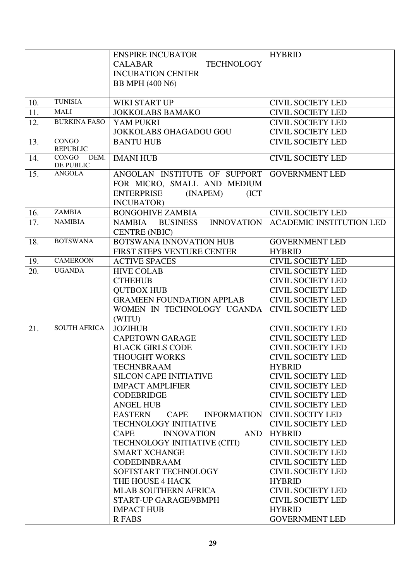|     |                                 | <b>ENSPIRE INCUBATOR</b>                                                                                            | <b>HYBRID</b>                   |
|-----|---------------------------------|---------------------------------------------------------------------------------------------------------------------|---------------------------------|
|     |                                 | <b>TECHNOLOGY</b><br><b>CALABAR</b>                                                                                 |                                 |
|     |                                 | <b>INCUBATION CENTER</b>                                                                                            |                                 |
|     |                                 | BB MPH (400 N6)                                                                                                     |                                 |
|     |                                 |                                                                                                                     |                                 |
| 10. | <b>TUNISIA</b>                  | WIKI START UP                                                                                                       | <b>CIVIL SOCIETY LED</b>        |
| 11. | <b>MALI</b>                     | <b>JOKKOLABS BAMAKO</b>                                                                                             | <b>CIVIL SOCIETY LED</b>        |
| 12. | <b>BURKINA FASO</b>             | YAM PUKRI                                                                                                           | <b>CIVIL SOCIETY LED</b>        |
|     |                                 | <b>JOKKOLABS OHAGADOU GOU</b>                                                                                       | <b>CIVIL SOCIETY LED</b>        |
| 13. | <b>CONGO</b><br><b>REPUBLIC</b> | <b>BANTU HUB</b>                                                                                                    | <b>CIVIL SOCIETY LED</b>        |
| 14. | CONGO<br>DEM.<br>DE PUBLIC      | <b>IMANI HUB</b>                                                                                                    | <b>CIVIL SOCIETY LED</b>        |
| 15. | <b>ANGOLA</b>                   | ANGOLAN INSTITUTE OF SUPPORT<br>FOR MICRO, SMALL AND MEDIUM<br><b>ENTERPRISE</b><br>(ICT)<br>(INAPEM)<br>INCUBATOR) | <b>GOVERNMENT LED</b>           |
| 16. | <b>ZAMBIA</b>                   | <b>BONGOHIVE ZAMBIA</b>                                                                                             | <b>CIVIL SOCIETY LED</b>        |
| 17. | <b>NAMIBIA</b>                  | <b>INNOVATION</b><br>NAMBIA BUSINESS<br><b>CENTRE (NBIC)</b>                                                        | <b>ACADEMIC INSTITUTION LED</b> |
| 18. | <b>BOTSWANA</b>                 | BOTSWANA INNOVATION HUB                                                                                             | <b>GOVERNMENT LED</b>           |
|     |                                 | FIRST STEPS VENTURE CENTER                                                                                          | <b>HYBRID</b>                   |
| 19. | <b>CAMEROON</b>                 | <b>ACTIVE SPACES</b>                                                                                                | <b>CIVIL SOCIETY LED</b>        |
| 20. | <b>UGANDA</b>                   | <b>HIVE COLAB</b>                                                                                                   | <b>CIVIL SOCIETY LED</b>        |
|     |                                 | <b>CTHEHUB</b>                                                                                                      | <b>CIVIL SOCIETY LED</b>        |
|     |                                 | <b>QUTBOX HUB</b>                                                                                                   | <b>CIVIL SOCIETY LED</b>        |
|     |                                 | <b>GRAMEEN FOUNDATION APPLAB</b>                                                                                    | <b>CIVIL SOCIETY LED</b>        |
|     |                                 | WOMEN IN TECHNOLOGY UGANDA                                                                                          | <b>CIVIL SOCIETY LED</b>        |
|     |                                 | (WITU)                                                                                                              |                                 |
| 21. | <b>SOUTH AFRICA</b>             | <b>JOZIHUB</b>                                                                                                      | <b>CIVIL SOCIETY LED</b>        |
|     |                                 | <b>CAPETOWN GARAGE</b>                                                                                              | <b>CIVIL SOCIETY LED</b>        |
|     |                                 | <b>BLACK GIRLS CODE</b>                                                                                             | <b>CIVIL SOCIETY LED</b>        |
|     |                                 | THOUGHT WORKS                                                                                                       | <b>CIVIL SOCIETY LED</b>        |
|     |                                 | <b>TECHNBRAAM</b>                                                                                                   | <b>HYBRID</b>                   |
|     |                                 | <b>SILCON CAPE INITIATIVE</b>                                                                                       | <b>CIVIL SOCIETY LED</b>        |
|     |                                 | <b>IMPACT AMPLIFIER</b>                                                                                             | <b>CIVIL SOCIETY LED</b>        |
|     |                                 | <b>CODEBRIDGE</b>                                                                                                   | <b>CIVIL SOCIETY LED</b>        |
|     |                                 | <b>ANGEL HUB</b>                                                                                                    | <b>CIVIL SOCIETY LED</b>        |
|     |                                 | <b>EASTERN</b><br>CAPE<br><b>INFORMATION</b>                                                                        | <b>CIVIL SOCITY LED</b>         |
|     |                                 | <b>TECHNOLOGY INITIATIVE</b>                                                                                        | <b>CIVIL SOCIETY LED</b>        |
|     |                                 | CAPE<br><b>AND</b><br><b>INNOVATION</b>                                                                             | <b>HYBRID</b>                   |
|     |                                 | TECHNOLOGY INITIATIVE (CITI)                                                                                        | <b>CIVIL SOCIETY LED</b>        |
|     |                                 | <b>SMART XCHANGE</b>                                                                                                | <b>CIVIL SOCIETY LED</b>        |
|     |                                 | <b>CODEDINBRAAM</b>                                                                                                 | <b>CIVIL SOCIETY LED</b>        |
|     |                                 | SOFTSTART TECHNOLOGY                                                                                                | <b>CIVIL SOCIETY LED</b>        |
|     |                                 | THE HOUSE 4 HACK                                                                                                    | <b>HYBRID</b>                   |
|     |                                 | <b>MLAB SOUTHERN AFRICA</b>                                                                                         | <b>CIVIL SOCIETY LED</b>        |
|     |                                 | START-UP GARAGE/9BMPH                                                                                               | <b>CIVIL SOCIETY LED</b>        |
|     |                                 | <b>IMPACT HUB</b>                                                                                                   | <b>HYBRID</b>                   |
|     |                                 | <b>R FABS</b>                                                                                                       | <b>GOVERNMENT LED</b>           |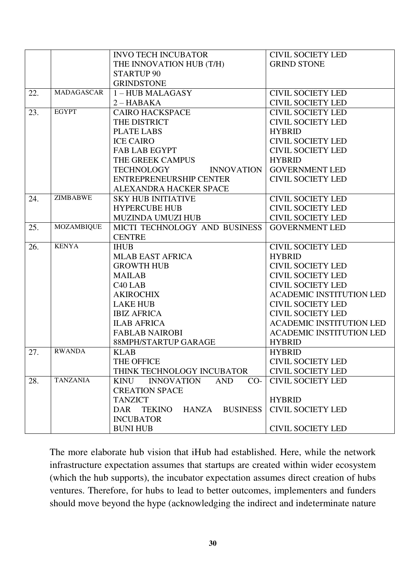|     |                   | <b>INVO TECH INCUBATOR</b>                              | <b>CIVIL SOCIETY LED</b>        |
|-----|-------------------|---------------------------------------------------------|---------------------------------|
|     |                   | THE INNOVATION HUB (T/H)                                | <b>GRIND STONE</b>              |
|     |                   | <b>STARTUP 90</b>                                       |                                 |
|     |                   | <b>GRINDSTONE</b>                                       |                                 |
| 22. | MADAGASCAR        | 1-HUB MALAGASY                                          | <b>CIVIL SOCIETY LED</b>        |
|     |                   | $2 - HABAKA$                                            | <b>CIVIL SOCIETY LED</b>        |
| 23. | <b>EGYPT</b>      | <b>CAIRO HACKSPACE</b>                                  | <b>CIVIL SOCIETY LED</b>        |
|     |                   | THE DISTRICT                                            | <b>CIVIL SOCIETY LED</b>        |
|     |                   | <b>PLATE LABS</b>                                       | <b>HYBRID</b>                   |
|     |                   | <b>ICE CAIRO</b>                                        | <b>CIVIL SOCIETY LED</b>        |
|     |                   | <b>FAB LAB EGYPT</b>                                    | <b>CIVIL SOCIETY LED</b>        |
|     |                   | THE GREEK CAMPUS                                        | <b>HYBRID</b>                   |
|     |                   | <b>INNOVATION</b><br>TECHNOLOGY                         | <b>GOVERNMENT LED</b>           |
|     |                   | <b>ENTREPRENEURSHIP CENTER</b>                          | <b>CIVIL SOCIETY LED</b>        |
|     |                   | ALEXANDRA HACKER SPACE                                  |                                 |
| 24. | <b>ZIMBABWE</b>   | <b>SKY HUB INITIATIVE</b>                               | <b>CIVIL SOCIETY LED</b>        |
|     |                   | <b>HYPERCUBE HUB</b>                                    | <b>CIVIL SOCIETY LED</b>        |
|     |                   | <b>MUZINDA UMUZI HUB</b>                                | <b>CIVIL SOCIETY LED</b>        |
| 25. | <b>MOZAMBIQUE</b> | MICTI TECHNOLOGY AND BUSINESS                           | <b>GOVERNMENT LED</b>           |
|     |                   | <b>CENTRE</b>                                           |                                 |
| 26. | <b>KENYA</b>      | <b>IHUB</b>                                             | <b>CIVIL SOCIETY LED</b>        |
|     |                   | <b>MLAB EAST AFRICA</b>                                 | <b>HYBRID</b>                   |
|     |                   | <b>GROWTH HUB</b>                                       | <b>CIVIL SOCIETY LED</b>        |
|     |                   | <b>MAILAB</b>                                           | <b>CIVIL SOCIETY LED</b>        |
|     |                   | C <sub>40</sub> L <sub>AB</sub>                         | <b>CIVIL SOCIETY LED</b>        |
|     |                   | <b>AKIROCHIX</b>                                        | <b>ACADEMIC INSTITUTION LED</b> |
|     |                   | <b>LAKE HUB</b>                                         | <b>CIVIL SOCIETY LED</b>        |
|     |                   | <b>IBIZ AFRICA</b>                                      | <b>CIVIL SOCIETY LED</b>        |
|     |                   | <b>ILAB AFRICA</b>                                      | <b>ACADEMIC INSTITUTION LED</b> |
|     |                   | <b>FABLAB NAIROBI</b>                                   | <b>ACADEMIC INSTITUTION LED</b> |
|     |                   | 88MPH/STARTUP GARAGE                                    | <b>HYBRID</b>                   |
| 27. | <b>RWANDA</b>     | <b>KLAB</b>                                             | <b>HYBRID</b>                   |
|     |                   | THE OFFICE                                              | <b>CIVIL SOCIETY LED</b>        |
|     |                   | THINK TECHNOLOGY INCUBATOR                              | <b>CIVIL SOCIETY LED</b>        |
| 28. | <b>TANZANIA</b>   | <b>AND</b><br><b>KINU</b><br><b>INNOVATION</b><br>$CO-$ | <b>CIVIL SOCIETY LED</b>        |
|     |                   | <b>CREATION SPACE</b>                                   |                                 |
|     |                   | <b>TANZICT</b>                                          | <b>HYBRID</b>                   |
|     |                   | HANZA<br><b>BUSINESS</b><br><b>DAR</b><br><b>TEKINO</b> | <b>CIVIL SOCIETY LED</b>        |
|     |                   | <b>INCUBATOR</b>                                        |                                 |
|     |                   | <b>BUNI HUB</b>                                         | <b>CIVIL SOCIETY LED</b>        |

The more elaborate hub vision that iHub had established. Here, while the network infrastructure expectation assumes that startups are created within wider ecosystem (which the hub supports), the incubator expectation assumes direct creation of hubs ventures. Therefore, for hubs to lead to better outcomes, implementers and funders should move beyond the hype (acknowledging the indirect and indeterminate nature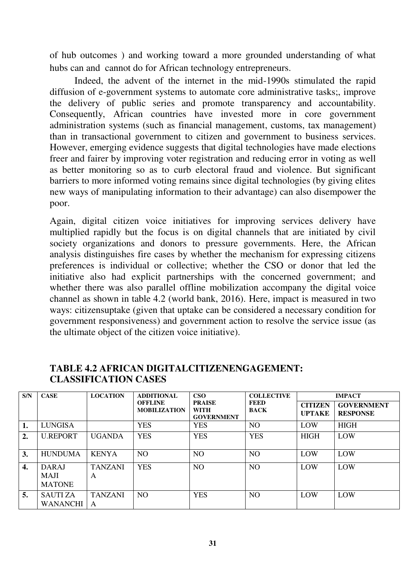of hub outcomes ) and working toward a more grounded understanding of what hubs can and cannot do for African technology entrepreneurs.

 Indeed, the advent of the internet in the mid-1990s stimulated the rapid diffusion of e-government systems to automate core administrative tasks;, improve the delivery of public series and promote transparency and accountability. Consequently, African countries have invested more in core government administration systems (such as financial management, customs, tax management) than in transactional government to citizen and government to business services. However, emerging evidence suggests that digital technologies have made elections freer and fairer by improving voter registration and reducing error in voting as well as better monitoring so as to curb electoral fraud and violence. But significant barriers to more informed voting remains since digital technologies (by giving elites new ways of manipulating information to their advantage) can also disempower the poor.

Again, digital citizen voice initiatives for improving services delivery have multiplied rapidly but the focus is on digital channels that are initiated by civil society organizations and donors to pressure governments. Here, the African analysis distinguishes fire cases by whether the mechanism for expressing citizens preferences is individual or collective; whether the CSO or donor that led the initiative also had explicit partnerships with the concerned government; and whether there was also parallel offline mobilization accompany the digital voice channel as shown in table 4.2 (world bank, 2016). Here, impact is measured in two ways: citizensuptake (given that uptake can be considered a necessary condition for government responsiveness) and government action to resolve the service issue (as the ultimate object of the citizen voice initiative).

| S/N | <b>CASE</b>                                  | <b>LOCATION</b>     | <b>ADDITIONAL</b>                     | $\cos \theta$                                     | <b>COLLECTIVE</b>   |                                 | <b>IMPACT</b>                        |
|-----|----------------------------------------------|---------------------|---------------------------------------|---------------------------------------------------|---------------------|---------------------------------|--------------------------------------|
|     |                                              |                     | <b>OFFLINE</b><br><b>MOBILIZATION</b> | <b>PRAISE</b><br><b>WITH</b><br><b>GOVERNMENT</b> | FEED<br><b>BACK</b> | <b>CITIZEN</b><br><b>UPTAKE</b> | <b>GOVERNMENT</b><br><b>RESPONSE</b> |
| 1.  | <b>LUNGISA</b>                               |                     | <b>YES</b>                            | <b>YES</b>                                        | N <sub>O</sub>      | LOW                             | <b>HIGH</b>                          |
| 2.  | <b>U.REPORT</b>                              | <b>UGANDA</b>       | <b>YES</b>                            | <b>YES</b>                                        | <b>YES</b>          | <b>HIGH</b>                     | LOW                                  |
| 3.  | <b>HUNDUMA</b>                               | <b>KENYA</b>        | NO <sub>1</sub>                       | NO.                                               | NO <sub>1</sub>     | LOW                             | LOW                                  |
| 4.  | <b>DARAJ</b><br><b>MAJI</b><br><b>MATONE</b> | <b>TANZANI</b><br>A | <b>YES</b>                            | NO                                                | N <sub>O</sub>      | LOW                             | LOW                                  |
| 5.  | <b>SAUTIZA</b><br>WANANCHI                   | <b>TANZANI</b><br>A | N <sub>O</sub>                        | <b>YES</b>                                        | N <sub>O</sub>      | LOW                             | LOW                                  |

#### **TABLE 4.2 AFRICAN DIGITALCITIZENENGAGEMENT: CLASSIFICATION CASES**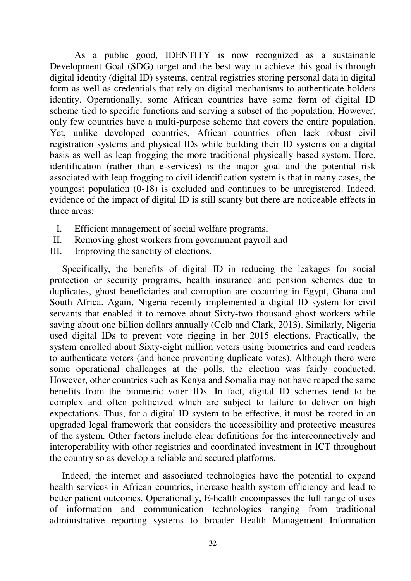As a public good, IDENTITY is now recognized as a sustainable Development Goal (SDG) target and the best way to achieve this goal is through digital identity (digital ID) systems, central registries storing personal data in digital form as well as credentials that rely on digital mechanisms to authenticate holders identity. Operationally, some African countries have some form of digital ID scheme tied to specific functions and serving a subset of the population. However, only few countries have a multi-purpose scheme that covers the entire population. Yet, unlike developed countries, African countries often lack robust civil registration systems and physical IDs while building their ID systems on a digital basis as well as leap frogging the more traditional physically based system. Here, identification (rather than e-services) is the major goal and the potential risk associated with leap frogging to civil identification system is that in many cases, the youngest population (0-18) is excluded and continues to be unregistered. Indeed, evidence of the impact of digital ID is still scanty but there are noticeable effects in three areas:

- I. Efficient management of social welfare programs,
- II. Removing ghost workers from government payroll and
- III. Improving the sanctity of elections.

Specifically, the benefits of digital ID in reducing the leakages for social protection or security programs, health insurance and pension schemes due to duplicates, ghost beneficiaries and corruption are occurring in Egypt, Ghana and South Africa. Again, Nigeria recently implemented a digital ID system for civil servants that enabled it to remove about Sixty-two thousand ghost workers while saving about one billion dollars annually (Celb and Clark, 2013). Similarly, Nigeria used digital IDs to prevent vote rigging in her 2015 elections. Practically, the system enrolled about Sixty-eight million voters using biometrics and card readers to authenticate voters (and hence preventing duplicate votes). Although there were some operational challenges at the polls, the election was fairly conducted. However, other countries such as Kenya and Somalia may not have reaped the same benefits from the biometric voter IDs. In fact, digital ID schemes tend to be complex and often politicized which are subject to failure to deliver on high expectations. Thus, for a digital ID system to be effective, it must be rooted in an upgraded legal framework that considers the accessibility and protective measures of the system. Other factors include clear definitions for the interconnectively and interoperability with other registries and coordinated investment in ICT throughout the country so as develop a reliable and secured platforms.

Indeed, the internet and associated technologies have the potential to expand health services in African countries, increase health system efficiency and lead to better patient outcomes. Operationally, E-health encompasses the full range of uses of information and communication technologies ranging from traditional administrative reporting systems to broader Health Management Information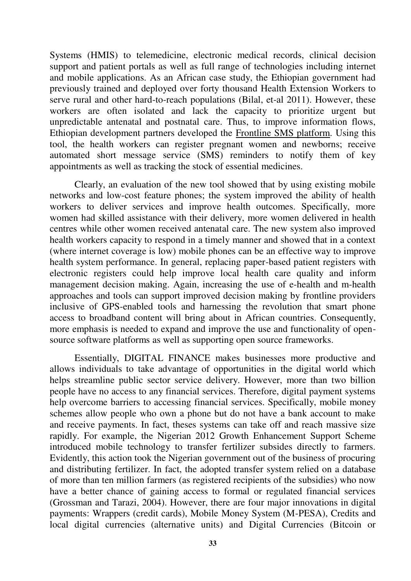Systems (HMIS) to telemedicine, electronic medical records, clinical decision support and patient portals as well as full range of technologies including internet and mobile applications. As an African case study, the Ethiopian government had previously trained and deployed over forty thousand Health Extension Workers to serve rural and other hard-to-reach populations (Bilal, et-al 2011). However, these workers are often isolated and lack the capacity to prioritize urgent but unpredictable antenatal and postnatal care. Thus, to improve information flows, Ethiopian development partners developed the Frontline SMS platform. Using this tool, the health workers can register pregnant women and newborns; receive automated short message service (SMS) reminders to notify them of key appointments as well as tracking the stock of essential medicines.

 Clearly, an evaluation of the new tool showed that by using existing mobile networks and low-cost feature phones; the system improved the ability of health workers to deliver services and improve health outcomes. Specifically, more women had skilled assistance with their delivery, more women delivered in health centres while other women received antenatal care. The new system also improved health workers capacity to respond in a timely manner and showed that in a context (where internet coverage is low) mobile phones can be an effective way to improve health system performance. In general, replacing paper-based patient registers with electronic registers could help improve local health care quality and inform management decision making. Again, increasing the use of e-health and m-health approaches and tools can support improved decision making by frontline providers inclusive of GPS-enabled tools and harnessing the revolution that smart phone access to broadband content will bring about in African countries. Consequently, more emphasis is needed to expand and improve the use and functionality of opensource software platforms as well as supporting open source frameworks.

 Essentially, DIGITAL FINANCE makes businesses more productive and allows individuals to take advantage of opportunities in the digital world which helps streamline public sector service delivery. However, more than two billion people have no access to any financial services. Therefore, digital payment systems help overcome barriers to accessing financial services. Specifically, mobile money schemes allow people who own a phone but do not have a bank account to make and receive payments. In fact, theses systems can take off and reach massive size rapidly. For example, the Nigerian 2012 Growth Enhancement Support Scheme introduced mobile technology to transfer fertilizer subsides directly to farmers. Evidently, this action took the Nigerian government out of the business of procuring and distributing fertilizer. In fact, the adopted transfer system relied on a database of more than ten million farmers (as registered recipients of the subsidies) who now have a better chance of gaining access to formal or regulated financial services (Grossman and Tarazi, 2004). However, there are four major innovations in digital payments: Wrappers (credit cards), Mobile Money System (M-PESA), Credits and local digital currencies (alternative units) and Digital Currencies (Bitcoin or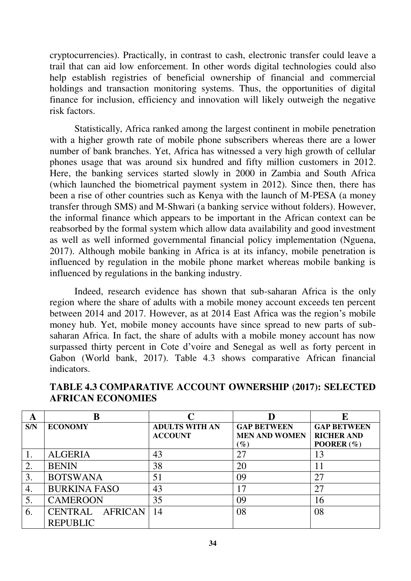cryptocurrencies). Practically, in contrast to cash, electronic transfer could leave a trail that can aid low enforcement. In other words digital technologies could also help establish registries of beneficial ownership of financial and commercial holdings and transaction monitoring systems. Thus, the opportunities of digital finance for inclusion, efficiency and innovation will likely outweigh the negative risk factors.

 Statistically, Africa ranked among the largest continent in mobile penetration with a higher growth rate of mobile phone subscribers whereas there are a lower number of bank branches. Yet, Africa has witnessed a very high growth of cellular phones usage that was around six hundred and fifty million customers in 2012. Here, the banking services started slowly in 2000 in Zambia and South Africa (which launched the biometrical payment system in 2012). Since then, there has been a rise of other countries such as Kenya with the launch of M-PESA (a money transfer through SMS) and M-Shwari (a banking service without folders). However, the informal finance which appears to be important in the African context can be reabsorbed by the formal system which allow data availability and good investment as well as well informed governmental financial policy implementation (Nguena, 2017). Although mobile banking in Africa is at its infancy, mobile penetration is influenced by regulation in the mobile phone market whereas mobile banking is influenced by regulations in the banking industry.

 Indeed, research evidence has shown that sub-saharan Africa is the only region where the share of adults with a mobile money account exceeds ten percent between 2014 and 2017. However, as at 2014 East Africa was the region"s mobile money hub. Yet, mobile money accounts have since spread to new parts of subsaharan Africa. In fact, the share of adults with a mobile money account has now surpassed thirty percent in Cote d"voire and Senegal as well as forty percent in Gabon (World bank, 2017). Table 4.3 shows comparative African financial indicators.

| A   |                     |                       |                      | E                    |
|-----|---------------------|-----------------------|----------------------|----------------------|
| S/N | <b>ECONOMY</b>      | <b>ADULTS WITH AN</b> | <b>GAP BETWEEN</b>   | <b>GAP BETWEEN</b>   |
|     |                     | <b>ACCOUNT</b>        | <b>MEN AND WOMEN</b> | <b>RICHER AND</b>    |
|     |                     |                       | $(\%)$               | <b>POORER</b> $(\%)$ |
|     | <b>ALGERIA</b>      | 43                    | 27                   | 13                   |
| 2.  | <b>BENIN</b>        | 38                    | 20                   | 11                   |
| 3.  | <b>BOTSWANA</b>     | 51                    | 09                   | 27                   |
| 4.  | <b>BURKINA FASO</b> | 43                    | 17                   | 27                   |
| 5.  | <b>CAMEROON</b>     | 35                    | 09                   | 16                   |
| 6.  | CENTRAL AFRICAN     | 14                    | 08                   | 08                   |
|     | <b>REPUBLIC</b>     |                       |                      |                      |

**TABLE 4.3 COMPARATIVE ACCOUNT OWNERSHIP (2017): SELECTED AFRICAN ECONOMIES**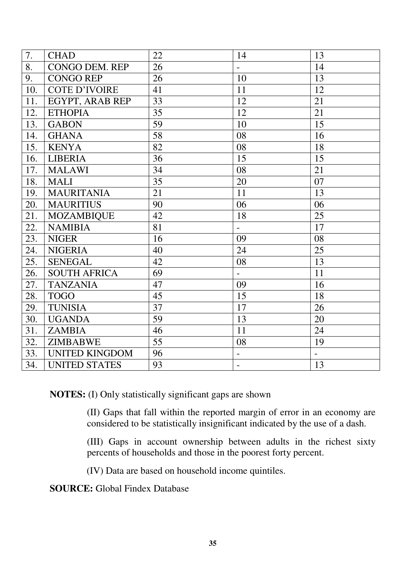| 7.  | <b>CHAD</b>           | 22 | 14                       | 13                       |
|-----|-----------------------|----|--------------------------|--------------------------|
| 8.  | <b>CONGO DEM. REP</b> | 26 | $\overline{\phantom{0}}$ | 14                       |
| 9.  | <b>CONGO REP</b>      | 26 | 10                       | 13                       |
| 10. | <b>COTE D'IVOIRE</b>  | 41 | 11                       | 12                       |
| 11. | EGYPT, ARAB REP       | 33 | 12                       | 21                       |
| 12. | <b>ETHOPIA</b>        | 35 | 12                       | 21                       |
| 13. | <b>GABON</b>          | 59 | 10                       | 15                       |
| 14. | <b>GHANA</b>          | 58 | 08                       | 16                       |
| 15. | <b>KENYA</b>          | 82 | 08                       | 18                       |
| 16. | <b>LIBERIA</b>        | 36 | 15                       | 15                       |
| 17. | <b>MALAWI</b>         | 34 | 08                       | 21                       |
| 18. | <b>MALI</b>           | 35 | 20                       | 07                       |
| 19. | <b>MAURITANIA</b>     | 21 | 11                       | 13                       |
| 20. | <b>MAURITIUS</b>      | 90 | 06                       | 06                       |
| 21. | <b>MOZAMBIQUE</b>     | 42 | 18                       | 25                       |
| 22. | <b>NAMIBIA</b>        | 81 | $\equiv$                 | 17                       |
| 23. | <b>NIGER</b>          | 16 | 09                       | 08                       |
| 24. | <b>NIGERIA</b>        | 40 | 24                       | 25                       |
| 25. | <b>SENEGAL</b>        | 42 | 08                       | 13                       |
| 26. | <b>SOUTH AFRICA</b>   | 69 | $\overline{a}$           | 11                       |
| 27. | <b>TANZANIA</b>       | 47 | 09                       | 16                       |
| 28. | <b>TOGO</b>           | 45 | 15                       | 18                       |
| 29. | <b>TUNISIA</b>        | 37 | 17                       | 26                       |
| 30. | <b>UGANDA</b>         | 59 | 13                       | 20                       |
| 31. | <b>ZAMBIA</b>         | 46 | 11                       | 24                       |
| 32. | <b>ZIMBABWE</b>       | 55 | 08                       | 19                       |
| 33. | <b>UNITED KINGDOM</b> | 96 | $\overline{\phantom{0}}$ | $\overline{\phantom{0}}$ |
| 34. | <b>UNITED STATES</b>  | 93 |                          | 13                       |

**NOTES:** (I) Only statistically significant gaps are shown

(II) Gaps that fall within the reported margin of error in an economy are considered to be statistically insignificant indicated by the use of a dash.

(III) Gaps in account ownership between adults in the richest sixty percents of households and those in the poorest forty percent.

(IV) Data are based on household income quintiles.

**SOURCE:** Global Findex Database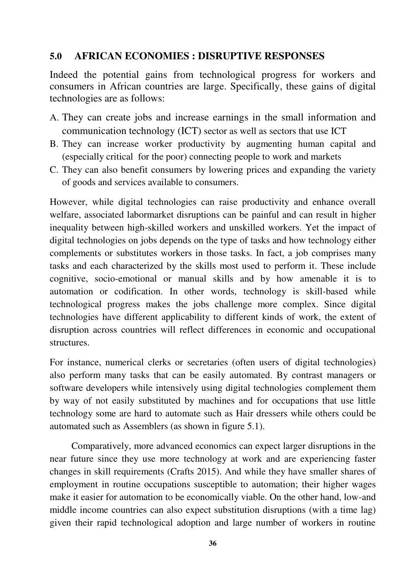### **5.0 AFRICAN ECONOMIES : DISRUPTIVE RESPONSES**

Indeed the potential gains from technological progress for workers and consumers in African countries are large. Specifically, these gains of digital technologies are as follows:

- A. They can create jobs and increase earnings in the small information and communication technology (ICT) sector as well as sectors that use ICT
- B. They can increase worker productivity by augmenting human capital and (especially critical for the poor) connecting people to work and markets
- C. They can also benefit consumers by lowering prices and expanding the variety of goods and services available to consumers.

However, while digital technologies can raise productivity and enhance overall welfare, associated labormarket disruptions can be painful and can result in higher inequality between high-skilled workers and unskilled workers. Yet the impact of digital technologies on jobs depends on the type of tasks and how technology either complements or substitutes workers in those tasks. In fact, a job comprises many tasks and each characterized by the skills most used to perform it. These include cognitive, socio-emotional or manual skills and by how amenable it is to automation or codification. In other words, technology is skill-based while technological progress makes the jobs challenge more complex. Since digital technologies have different applicability to different kinds of work, the extent of disruption across countries will reflect differences in economic and occupational structures.

For instance, numerical clerks or secretaries (often users of digital technologies) also perform many tasks that can be easily automated. By contrast managers or software developers while intensively using digital technologies complement them by way of not easily substituted by machines and for occupations that use little technology some are hard to automate such as Hair dressers while others could be automated such as Assemblers (as shown in figure 5.1).

 Comparatively, more advanced economics can expect larger disruptions in the near future since they use more technology at work and are experiencing faster changes in skill requirements (Crafts 2015). And while they have smaller shares of employment in routine occupations susceptible to automation; their higher wages make it easier for automation to be economically viable. On the other hand, low-and middle income countries can also expect substitution disruptions (with a time lag) given their rapid technological adoption and large number of workers in routine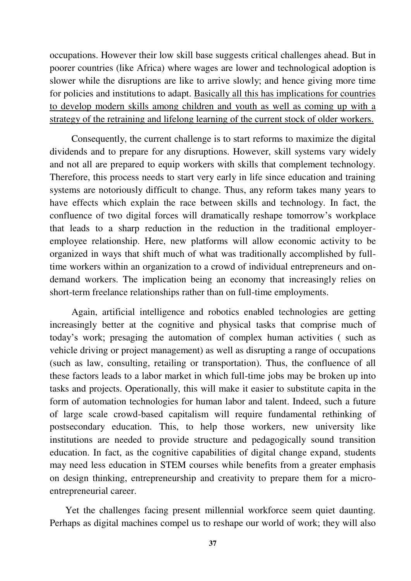occupations. However their low skill base suggests critical challenges ahead. But in poorer countries (like Africa) where wages are lower and technological adoption is slower while the disruptions are like to arrive slowly; and hence giving more time for policies and institutions to adapt. Basically all this has implications for countries to develop modern skills among children and youth as well as coming up with a strategy of the retraining and lifelong learning of the current stock of older workers.

Consequently, the current challenge is to start reforms to maximize the digital dividends and to prepare for any disruptions. However, skill systems vary widely and not all are prepared to equip workers with skills that complement technology. Therefore, this process needs to start very early in life since education and training systems are notoriously difficult to change. Thus, any reform takes many years to have effects which explain the race between skills and technology. In fact, the confluence of two digital forces will dramatically reshape tomorrow"s workplace that leads to a sharp reduction in the reduction in the traditional employeremployee relationship. Here, new platforms will allow economic activity to be organized in ways that shift much of what was traditionally accomplished by fulltime workers within an organization to a crowd of individual entrepreneurs and ondemand workers. The implication being an economy that increasingly relies on short-term freelance relationships rather than on full-time employments.

 Again, artificial intelligence and robotics enabled technologies are getting increasingly better at the cognitive and physical tasks that comprise much of today"s work; presaging the automation of complex human activities ( such as vehicle driving or project management) as well as disrupting a range of occupations (such as law, consulting, retailing or transportation). Thus, the confluence of all these factors leads to a labor market in which full-time jobs may be broken up into tasks and projects. Operationally, this will make it easier to substitute capita in the form of automation technologies for human labor and talent. Indeed, such a future of large scale crowd-based capitalism will require fundamental rethinking of postsecondary education. This, to help those workers, new university like institutions are needed to provide structure and pedagogically sound transition education. In fact, as the cognitive capabilities of digital change expand, students may need less education in STEM courses while benefits from a greater emphasis on design thinking, entrepreneurship and creativity to prepare them for a microentrepreneurial career.

 Yet the challenges facing present millennial workforce seem quiet daunting. Perhaps as digital machines compel us to reshape our world of work; they will also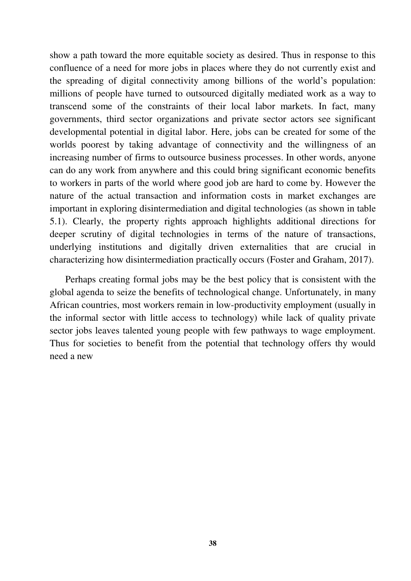show a path toward the more equitable society as desired. Thus in response to this confluence of a need for more jobs in places where they do not currently exist and the spreading of digital connectivity among billions of the world"s population: millions of people have turned to outsourced digitally mediated work as a way to transcend some of the constraints of their local labor markets. In fact, many governments, third sector organizations and private sector actors see significant developmental potential in digital labor. Here, jobs can be created for some of the worlds poorest by taking advantage of connectivity and the willingness of an increasing number of firms to outsource business processes. In other words, anyone can do any work from anywhere and this could bring significant economic benefits to workers in parts of the world where good job are hard to come by. However the nature of the actual transaction and information costs in market exchanges are important in exploring disintermediation and digital technologies (as shown in table 5.1). Clearly, the property rights approach highlights additional directions for deeper scrutiny of digital technologies in terms of the nature of transactions, underlying institutions and digitally driven externalities that are crucial in characterizing how disintermediation practically occurs (Foster and Graham, 2017).

 Perhaps creating formal jobs may be the best policy that is consistent with the global agenda to seize the benefits of technological change. Unfortunately, in many African countries, most workers remain in low-productivity employment (usually in the informal sector with little access to technology) while lack of quality private sector jobs leaves talented young people with few pathways to wage employment. Thus for societies to benefit from the potential that technology offers thy would need a new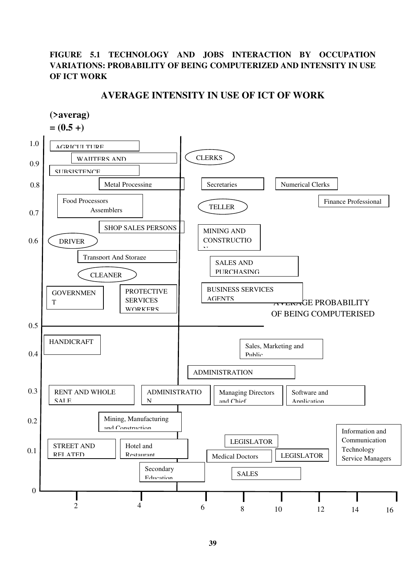#### **FIGURE 5.1 TECHNOLOGY AND JOBS INTERACTION BY OCCUPATION VARIATIONS: PROBABILITY OF BEING COMPUTERIZED AND INTENSITY IN USE OF ICT WORK**

#### **AVERAGE INTENSITY IN USE OF ICT OF WORK**

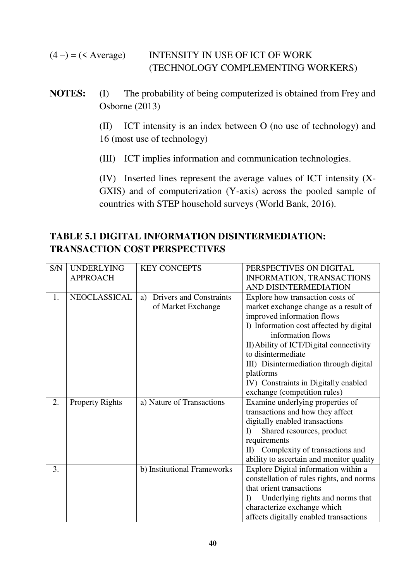$(4 - ) = ($  Average) INTENSITY IN USE OF ICT OF WORK (TECHNOLOGY COMPLEMENTING WORKERS)

**NOTES:** (I) The probability of being computerized is obtained from Frey and Osborne (2013)

> (II) ICT intensity is an index between O (no use of technology) and 16 (most use of technology)

(III) ICT implies information and communication technologies.

 (IV) Inserted lines represent the average values of ICT intensity (X-GXIS) and of computerization (Y-axis) across the pooled sample of countries with STEP household surveys (World Bank, 2016).

### **TABLE 5.1 DIGITAL INFORMATION DISINTERMEDIATION: TRANSACTION COST PERSPECTIVES**

| S/N | <b>UNDERLYING</b>      | <b>KEY CONCEPTS</b>           | PERSPECTIVES ON DIGITAL                                      |  |
|-----|------------------------|-------------------------------|--------------------------------------------------------------|--|
|     | <b>APPROACH</b>        |                               | INFORMATION, TRANSACTIONS                                    |  |
|     |                        |                               | AND DISINTERMEDIATION                                        |  |
| 1.  | NEOCLASSICAL           | Drivers and Constraints<br>a) | Explore how transaction costs of                             |  |
|     |                        | of Market Exchange            | market exchange change as a result of                        |  |
|     |                        |                               | improved information flows                                   |  |
|     |                        |                               | I) Information cost affected by digital<br>information flows |  |
|     |                        |                               | II) Ability of ICT/Digital connectivity                      |  |
|     |                        |                               | to disintermediate                                           |  |
|     |                        |                               | III) Disintermediation through digital                       |  |
|     |                        |                               | platforms                                                    |  |
|     |                        |                               | IV) Constraints in Digitally enabled                         |  |
|     |                        |                               | exchange (competition rules)                                 |  |
| 2.  | <b>Property Rights</b> | a) Nature of Transactions     | Examine underlying properties of                             |  |
|     |                        |                               | transactions and how they affect                             |  |
|     |                        |                               | digitally enabled transactions                               |  |
|     |                        |                               | Shared resources, product<br>$\Gamma$                        |  |
|     |                        |                               | requirements                                                 |  |
|     |                        |                               | Complexity of transactions and<br>II                         |  |
|     |                        |                               | ability to ascertain and monitor quality                     |  |
| 3.  |                        | b) Institutional Frameworks   | Explore Digital information within a                         |  |
|     |                        |                               | constellation of rules rights, and norms                     |  |
|     |                        |                               | that orient transactions                                     |  |
|     |                        |                               | Underlying rights and norms that<br>I)                       |  |
|     |                        |                               | characterize exchange which                                  |  |
|     |                        |                               | affects digitally enabled transactions                       |  |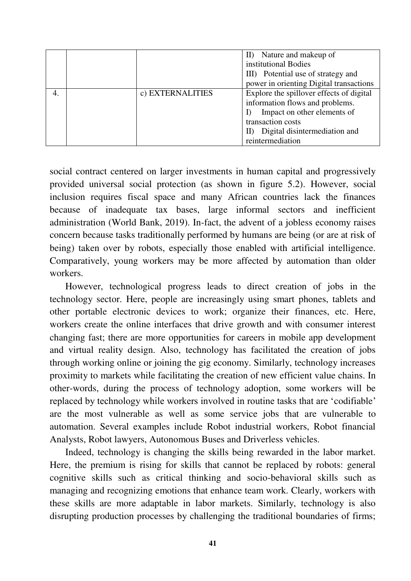|    |                  | II) Nature and makeup of                 |
|----|------------------|------------------------------------------|
|    |                  | institutional Bodies                     |
|    |                  | III) Potential use of strategy and       |
|    |                  | power in orienting Digital transactions  |
| 4. | c) EXTERNALITIES | Explore the spillover effects of digital |
|    |                  | information flows and problems.          |
|    |                  | Impact on other elements of              |
|    |                  | transaction costs                        |
|    |                  | Digital disintermediation and            |
|    |                  | reintermediation                         |

social contract centered on larger investments in human capital and progressively provided universal social protection (as shown in figure 5.2). However, social inclusion requires fiscal space and many African countries lack the finances because of inadequate tax bases, large informal sectors and inefficient administration (World Bank, 2019). In-fact, the advent of a jobless economy raises concern because tasks traditionally performed by humans are being (or are at risk of being) taken over by robots, especially those enabled with artificial intelligence. Comparatively, young workers may be more affected by automation than older workers.

 However, technological progress leads to direct creation of jobs in the technology sector. Here, people are increasingly using smart phones, tablets and other portable electronic devices to work; organize their finances, etc. Here, workers create the online interfaces that drive growth and with consumer interest changing fast; there are more opportunities for careers in mobile app development and virtual reality design. Also, technology has facilitated the creation of jobs through working online or joining the gig economy. Similarly, technology increases proximity to markets while facilitating the creation of new efficient value chains. In other-words, during the process of technology adoption, some workers will be replaced by technology while workers involved in routine tasks that are "codifiable" are the most vulnerable as well as some service jobs that are vulnerable to automation. Several examples include Robot industrial workers, Robot financial Analysts, Robot lawyers, Autonomous Buses and Driverless vehicles.

 Indeed, technology is changing the skills being rewarded in the labor market. Here, the premium is rising for skills that cannot be replaced by robots: general cognitive skills such as critical thinking and socio-behavioral skills such as managing and recognizing emotions that enhance team work. Clearly, workers with these skills are more adaptable in labor markets. Similarly, technology is also disrupting production processes by challenging the traditional boundaries of firms;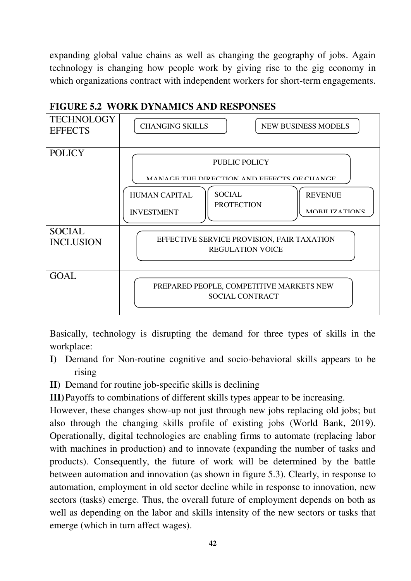expanding global value chains as well as changing the geography of jobs. Again technology is changing how people work by giving rise to the gig economy in which organizations contract with independent workers for short-term engagements.



### **FIGURE 5.2 WORK DYNAMICS AND RESPONSES**

Basically, technology is disrupting the demand for three types of skills in the workplace:

- **I)** Demand for Non-routine cognitive and socio-behavioral skills appears to be rising
- **II)** Demand for routine job-specific skills is declining

**III)**Payoffs to combinations of different skills types appear to be increasing.

However, these changes show-up not just through new jobs replacing old jobs; but also through the changing skills profile of existing jobs (World Bank, 2019). Operationally, digital technologies are enabling firms to automate (replacing labor with machines in production) and to innovate (expanding the number of tasks and products). Consequently, the future of work will be determined by the battle between automation and innovation (as shown in figure 5.3). Clearly, in response to automation, employment in old sector decline while in response to innovation, new sectors (tasks) emerge. Thus, the overall future of employment depends on both as well as depending on the labor and skills intensity of the new sectors or tasks that emerge (which in turn affect wages).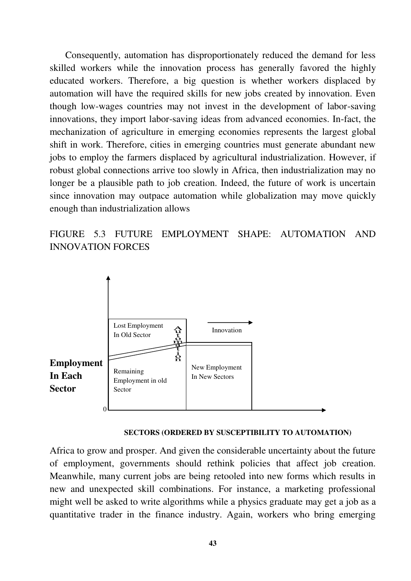Consequently, automation has disproportionately reduced the demand for less skilled workers while the innovation process has generally favored the highly educated workers. Therefore, a big question is whether workers displaced by automation will have the required skills for new jobs created by innovation. Even though low-wages countries may not invest in the development of labor-saving innovations, they import labor-saving ideas from advanced economies. In-fact, the mechanization of agriculture in emerging economies represents the largest global shift in work. Therefore, cities in emerging countries must generate abundant new jobs to employ the farmers displaced by agricultural industrialization. However, if robust global connections arrive too slowly in Africa, then industrialization may no longer be a plausible path to job creation. Indeed, the future of work is uncertain since innovation may outpace automation while globalization may move quickly enough than industrialization allows

FIGURE 5.3 FUTURE EMPLOYMENT SHAPE: AUTOMATION AND INNOVATION FORCES



 **SECTORS (ORDERED BY SUSCEPTIBILITY TO AUTOMATION)** 

Africa to grow and prosper. And given the considerable uncertainty about the future of employment, governments should rethink policies that affect job creation. Meanwhile, many current jobs are being retooled into new forms which results in new and unexpected skill combinations. For instance, a marketing professional might well be asked to write algorithms while a physics graduate may get a job as a quantitative trader in the finance industry. Again, workers who bring emerging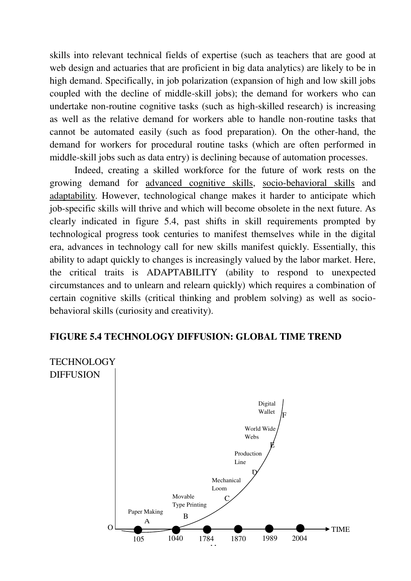skills into relevant technical fields of expertise (such as teachers that are good at web design and actuaries that are proficient in big data analytics) are likely to be in high demand. Specifically, in job polarization (expansion of high and low skill jobs coupled with the decline of middle-skill jobs); the demand for workers who can undertake non-routine cognitive tasks (such as high-skilled research) is increasing as well as the relative demand for workers able to handle non-routine tasks that cannot be automated easily (such as food preparation). On the other-hand, the demand for workers for procedural routine tasks (which are often performed in middle-skill jobs such as data entry) is declining because of automation processes.

 Indeed, creating a skilled workforce for the future of work rests on the growing demand for advanced cognitive skills, socio-behavioral skills and adaptability. However, technological change makes it harder to anticipate which job-specific skills will thrive and which will become obsolete in the next future. As clearly indicated in figure 5.4, past shifts in skill requirements prompted by technological progress took centuries to manifest themselves while in the digital era, advances in technology call for new skills manifest quickly. Essentially, this ability to adapt quickly to changes is increasingly valued by the labor market. Here, the critical traits is ADAPTABILITY (ability to respond to unexpected circumstances and to unlearn and relearn quickly) which requires a combination of certain cognitive skills (critical thinking and problem solving) as well as sociobehavioral skills (curiosity and creativity).

#### **FIGURE 5.4 TECHNOLOGY DIFFUSION: GLOBAL TIME TREND**

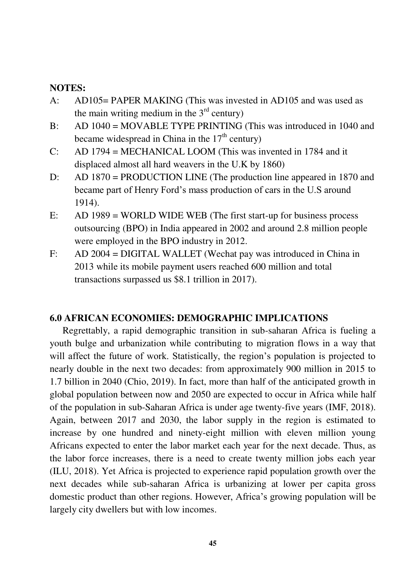#### **NOTES:**

- A: AD105= PAPER MAKING (This was invested in AD105 and was used as the main writing medium in the  $3<sup>rd</sup>$  century)
- B: AD 1040 = MOVABLE TYPE PRINTING (This was introduced in 1040 and became widespread in China in the  $17<sup>th</sup>$  century)
- C: AD 1794 = MECHANICAL LOOM (This was invented in 1784 and it displaced almost all hard weavers in the U.K by 1860)
- D: AD 1870 = PRODUCTION LINE (The production line appeared in 1870 and became part of Henry Ford"s mass production of cars in the U.S around 1914).
- E: AD 1989 = WORLD WIDE WEB (The first start-up for business process outsourcing (BPO) in India appeared in 2002 and around 2.8 million people were employed in the BPO industry in 2012.
- F: AD 2004 = DIGITAL WALLET (Wechat pay was introduced in China in 2013 while its mobile payment users reached 600 million and total transactions surpassed us \$8.1 trillion in 2017).

#### **6.0 AFRICAN ECONOMIES: DEMOGRAPHIC IMPLICATIONS**

Regrettably, a rapid demographic transition in sub-saharan Africa is fueling a youth bulge and urbanization while contributing to migration flows in a way that will affect the future of work. Statistically, the region's population is projected to nearly double in the next two decades: from approximately 900 million in 2015 to 1.7 billion in 2040 (Chio, 2019). In fact, more than half of the anticipated growth in global population between now and 2050 are expected to occur in Africa while half of the population in sub-Saharan Africa is under age twenty-five years (IMF, 2018). Again, between 2017 and 2030, the labor supply in the region is estimated to increase by one hundred and ninety-eight million with eleven million young Africans expected to enter the labor market each year for the next decade. Thus, as the labor force increases, there is a need to create twenty million jobs each year (ILU, 2018). Yet Africa is projected to experience rapid population growth over the next decades while sub-saharan Africa is urbanizing at lower per capita gross domestic product than other regions. However, Africa"s growing population will be largely city dwellers but with low incomes.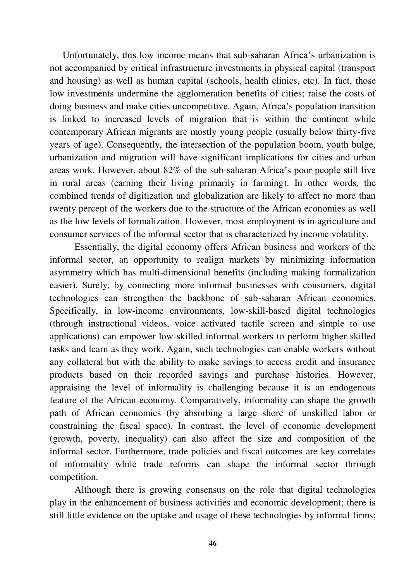Unfortunately, this low income means that sub-saharan Africa"s urbanization is not accompanied by critical infrastructure investments in physical capital (transport and housing) as well as human capital (schools, health clinics, etc). In fact, those low investments undermine the agglomeration benefits of cities; raise the costs of doing business and make cities uncompetitive. Again, Africa"s population transition is linked to increased levels of migration that is within the continent while contemporary African migrants are mostly young people (usually below thirty-five years of age). Consequently, the intersection of the population boom, youth bulge, urbanization and migration will have significant implications for cities and urban areas work. However, about 82% of the sub-saharan Africa"s poor people still live in rural areas (earning their living primarily in farming). In other words, the combined trends of digitization and globalization are likely to affect no more than twenty percent of the workers due to the structure of the African economies as well as the low levels of formalization. However, most employment is in agriculture and consumer services of the informal sector that is characterized by income volatility.

 Essentially, the digital economy offers African business and workers of the informal sector, an opportunity to realign markets by minimizing information asymmetry which has multi-dimensional benefits (including making formalization easier). Surely, by connecting more informal businesses with consumers, digital technologies can strengthen the backbone of sub-saharan African economies. Specifically, in low-income environments, low-skill-based digital technologies (through instructional videos, voice activated tactile screen and simple to use applications) can empower low-skilled informal workers to perform higher skilled tasks and learn as they work. Again, such technologies can enable workers without any collateral but with the ability to make savings to access credit and insurance products based on their recorded savings and purchase histories. However, appraising the level of informality is challenging because it is an endogenous feature of the African economy. Comparatively, informality can shape the growth path of African economies (by absorbing a large shore of unskilled labor or constraining the fiscal space). In contrast, the level of economic development (growth, poverty, inequality) can also affect the size and composition of the informal sector. Furthermore, trade policies and fiscal outcomes are key correlates of informality while trade reforms can shape the informal sector through competition.

 Although there is growing consensus on the role that digital technologies play in the enhancement of business activities and economic development; there is still little evidence on the uptake and usage of these technologies by informal firms;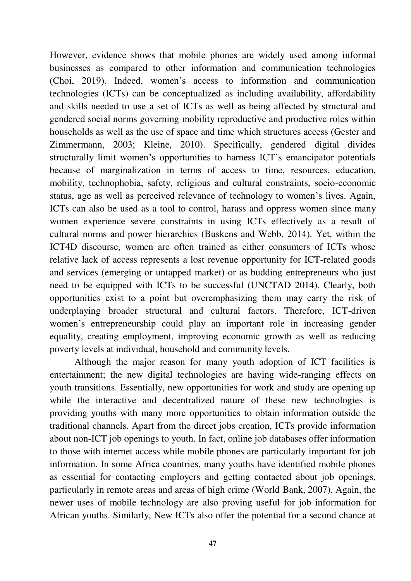However, evidence shows that mobile phones are widely used among informal businesses as compared to other information and communication technologies (Choi, 2019). Indeed, women"s access to information and communication technologies (ICTs) can be conceptualized as including availability, affordability and skills needed to use a set of ICTs as well as being affected by structural and gendered social norms governing mobility reproductive and productive roles within households as well as the use of space and time which structures access (Gester and Zimmermann, 2003; Kleine, 2010). Specifically, gendered digital divides structurally limit women"s opportunities to harness ICT"s emancipator potentials because of marginalization in terms of access to time, resources, education, mobility, technophobia, safety, religious and cultural constraints, socio-economic status, age as well as perceived relevance of technology to women"s lives. Again, ICTs can also be used as a tool to control, harass and oppress women since many women experience severe constraints in using ICTs effectively as a result of cultural norms and power hierarchies (Buskens and Webb, 2014). Yet, within the ICT4D discourse, women are often trained as either consumers of ICTs whose relative lack of access represents a lost revenue opportunity for ICT-related goods and services (emerging or untapped market) or as budding entrepreneurs who just need to be equipped with ICTs to be successful (UNCTAD 2014). Clearly, both opportunities exist to a point but overemphasizing them may carry the risk of underplaying broader structural and cultural factors. Therefore, ICT-driven women's entrepreneurship could play an important role in increasing gender equality, creating employment, improving economic growth as well as reducing poverty levels at individual, household and community levels.

 Although the major reason for many youth adoption of ICT facilities is entertainment; the new digital technologies are having wide-ranging effects on youth transitions. Essentially, new opportunities for work and study are opening up while the interactive and decentralized nature of these new technologies is providing youths with many more opportunities to obtain information outside the traditional channels. Apart from the direct jobs creation, ICTs provide information about non-ICT job openings to youth. In fact, online job databases offer information to those with internet access while mobile phones are particularly important for job information. In some Africa countries, many youths have identified mobile phones as essential for contacting employers and getting contacted about job openings, particularly in remote areas and areas of high crime (World Bank, 2007). Again, the newer uses of mobile technology are also proving useful for job information for African youths. Similarly, New ICTs also offer the potential for a second chance at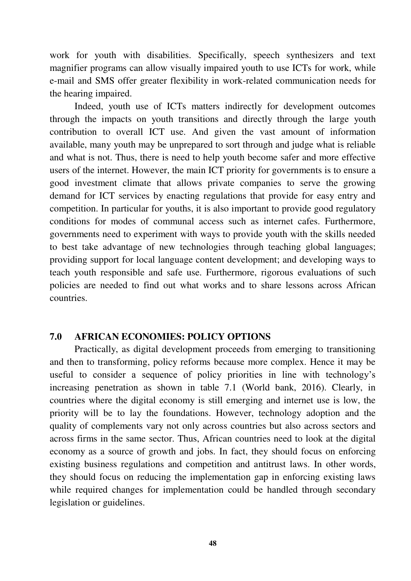work for youth with disabilities. Specifically, speech synthesizers and text magnifier programs can allow visually impaired youth to use ICTs for work, while e-mail and SMS offer greater flexibility in work-related communication needs for the hearing impaired.

 Indeed, youth use of ICTs matters indirectly for development outcomes through the impacts on youth transitions and directly through the large youth contribution to overall ICT use. And given the vast amount of information available, many youth may be unprepared to sort through and judge what is reliable and what is not. Thus, there is need to help youth become safer and more effective users of the internet. However, the main ICT priority for governments is to ensure a good investment climate that allows private companies to serve the growing demand for ICT services by enacting regulations that provide for easy entry and competition. In particular for youths, it is also important to provide good regulatory conditions for modes of communal access such as internet cafes. Furthermore, governments need to experiment with ways to provide youth with the skills needed to best take advantage of new technologies through teaching global languages; providing support for local language content development; and developing ways to teach youth responsible and safe use. Furthermore, rigorous evaluations of such policies are needed to find out what works and to share lessons across African countries.

#### **7.0 AFRICAN ECONOMIES: POLICY OPTIONS**

Practically, as digital development proceeds from emerging to transitioning and then to transforming, policy reforms because more complex. Hence it may be useful to consider a sequence of policy priorities in line with technology"s increasing penetration as shown in table 7.1 (World bank, 2016). Clearly, in countries where the digital economy is still emerging and internet use is low, the priority will be to lay the foundations. However, technology adoption and the quality of complements vary not only across countries but also across sectors and across firms in the same sector. Thus, African countries need to look at the digital economy as a source of growth and jobs. In fact, they should focus on enforcing existing business regulations and competition and antitrust laws. In other words, they should focus on reducing the implementation gap in enforcing existing laws while required changes for implementation could be handled through secondary legislation or guidelines.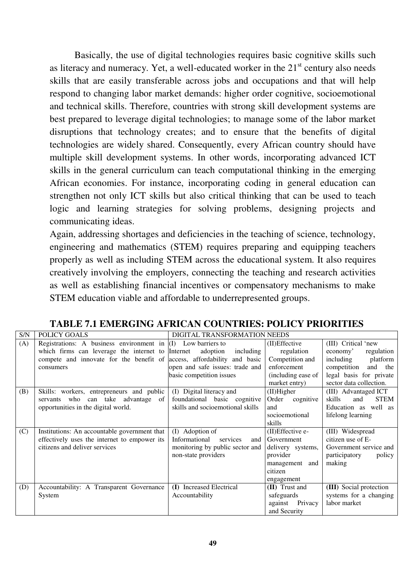Basically, the use of digital technologies requires basic cognitive skills such as literacy and numeracy. Yet, a well-educated worker in the  $21<sup>st</sup>$  century also needs skills that are easily transferable across jobs and occupations and that will help respond to changing labor market demands: higher order cognitive, socioemotional and technical skills. Therefore, countries with strong skill development systems are best prepared to leverage digital technologies; to manage some of the labor market disruptions that technology creates; and to ensure that the benefits of digital technologies are widely shared. Consequently, every African country should have multiple skill development systems. In other words, incorporating advanced ICT skills in the general curriculum can teach computational thinking in the emerging African economies. For instance, incorporating coding in general education can strengthen not only ICT skills but also critical thinking that can be used to teach logic and learning strategies for solving problems, designing projects and communicating ideas.

Again, addressing shortages and deficiencies in the teaching of science, technology, engineering and mathematics (STEM) requires preparing and equipping teachers properly as well as including STEM across the educational system. It also requires creatively involving the employers, connecting the teaching and research activities as well as establishing financial incentives or compensatory mechanisms to make STEM education viable and affordable to underrepresented groups.

| S/N | POLICY GOALS                                                            | DIGITAL TRANSFORMATION NEEDS     |                    |                              |
|-----|-------------------------------------------------------------------------|----------------------------------|--------------------|------------------------------|
| (A) | Registrations: A business environment in $(I)$ Low barriers to          |                                  | (II) Effective     | (III) Critical 'new          |
|     | which firms can leverage the internet to Internet                       | adoption<br>including            | regulation         | regulation<br>economy'       |
|     | compete and innovate for the benefit of access, affordability and basic |                                  | Competition and    | including<br>platform        |
|     | consumers                                                               | open and safe issues: trade and  | enforcement        | and<br>competition<br>the    |
|     |                                                                         | basic competition issues         | (including ease of | legal basis for private      |
|     |                                                                         |                                  | market entry)      | sector data collection.      |
| (B) | Skills: workers, entrepreneurs and public                               | (I) Digital literacy and         | $(II)$ Higher      | (III) Advantaged ICT         |
|     | servants who can take advantage of                                      | foundational basic cognitive     | Order<br>cognitive | skills<br>and<br><b>STEM</b> |
|     | opportunities in the digital world.                                     | skills and socioemotional skills | and                | Education as well as         |
|     |                                                                         |                                  | socioemotional     | lifelong learning            |
|     |                                                                         |                                  | skills             |                              |
| (C) | Institutions: An accountable government that                            | (I) Adoption of                  | (II)Effective e-   | (III) Widespread             |
|     | effectively uses the internet to empower its                            | Informational<br>services        | and Government     | citizen use of E-            |
|     | citizens and deliver services                                           | monitoring by public sector and  | delivery systems,  | Government service and       |
|     |                                                                         | non-state providers              | provider           | participatory<br>policy      |
|     |                                                                         |                                  | management and     | making                       |
|     |                                                                         |                                  | citizen            |                              |
|     |                                                                         |                                  | engagement         |                              |
| (D) | Accountability: A Transparent Governance                                | (I) Increased Electrical         | (II) Trust and     | (III) Social protection      |
|     | System                                                                  | Accountability                   | safeguards         | systems for a changing       |
|     |                                                                         |                                  | against<br>Privacy | labor market                 |
|     |                                                                         |                                  | and Security       |                              |

**TABLE 7.1 EMERGING AFRICAN COUNTRIES: POLICY PRIORITIES**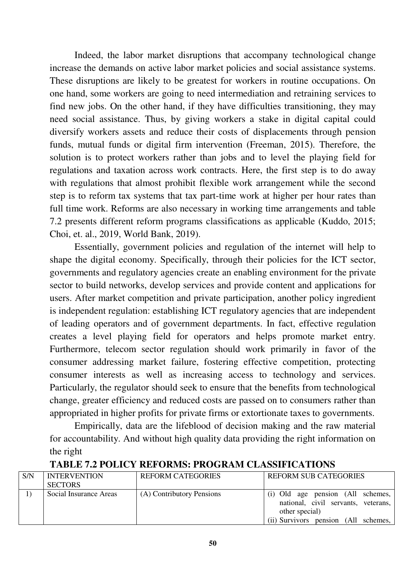Indeed, the labor market disruptions that accompany technological change increase the demands on active labor market policies and social assistance systems. These disruptions are likely to be greatest for workers in routine occupations. On one hand, some workers are going to need intermediation and retraining services to find new jobs. On the other hand, if they have difficulties transitioning, they may need social assistance. Thus, by giving workers a stake in digital capital could diversify workers assets and reduce their costs of displacements through pension funds, mutual funds or digital firm intervention (Freeman, 2015). Therefore, the solution is to protect workers rather than jobs and to level the playing field for regulations and taxation across work contracts. Here, the first step is to do away with regulations that almost prohibit flexible work arrangement while the second step is to reform tax systems that tax part-time work at higher per hour rates than full time work. Reforms are also necessary in working time arrangements and table 7.2 presents different reform programs classifications as applicable (Kuddo, 2015; Choi, et. al., 2019, World Bank, 2019).

 Essentially, government policies and regulation of the internet will help to shape the digital economy. Specifically, through their policies for the ICT sector, governments and regulatory agencies create an enabling environment for the private sector to build networks, develop services and provide content and applications for users. After market competition and private participation, another policy ingredient is independent regulation: establishing ICT regulatory agencies that are independent of leading operators and of government departments. In fact, effective regulation creates a level playing field for operators and helps promote market entry. Furthermore, telecom sector regulation should work primarily in favor of the consumer addressing market failure, fostering effective competition, protecting consumer interests as well as increasing access to technology and services. Particularly, the regulator should seek to ensure that the benefits from technological change, greater efficiency and reduced costs are passed on to consumers rather than appropriated in higher profits for private firms or extortionate taxes to governments.

 Empirically, data are the lifeblood of decision making and the raw material for accountability. And without high quality data providing the right information on the right

| S/N | <b>INTERVENTION</b>    | <b>REFORM CATEGORIES</b>  | <b>REFORM SUB CATEGORIES</b>         |
|-----|------------------------|---------------------------|--------------------------------------|
|     | <b>SECTORS</b>         |                           |                                      |
|     | Social Insurance Areas | (A) Contributory Pensions | (i) Old age pension (All schemes,    |
|     |                        |                           | national, civil servants, veterans,  |
|     |                        |                           | other special)                       |
|     |                        |                           | (ii) Survivors pension (All schemes, |

#### **TABLE 7.2 POLICY REFORMS: PROGRAM CLASSIFICATIONS**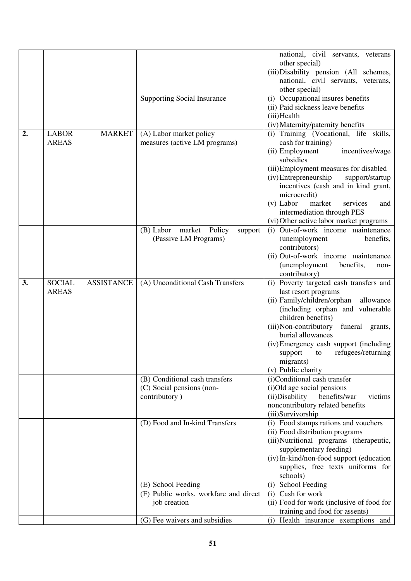| (ii) Paid sickness leave benefits<br>(iii) Health<br>(iv) Maternity/paternity benefits<br><b>MARKET</b><br>(i) Training (Vocational, life skills,<br>2.<br><b>LABOR</b><br>(A) Labor market policy<br><b>AREAS</b><br>cash for training)<br>measures (active LM programs)<br>(ii) Employment<br>incentives/wage<br>subsidies<br>(iii) Employment measures for disabled<br>(iv) Entrepreneurship<br>support/startup<br>incentives (cash and in kind grant,<br>microcredit)<br>$(v)$ Labor<br>market<br>services<br>and<br>intermediation through PES<br>(vi) Other active labor market programs<br>(i) Out-of-work income maintenance<br>(B) Labor<br>market Policy<br>support<br>(Passive LM Programs)<br>(unemployment<br>benefits,<br>contributors)<br>(ii) Out-of-work income maintenance<br>(unemployment<br>benefits,<br>non-<br>contributory)<br><b>ASSISTANCE</b><br>(A) Unconditional Cash Transfers<br><b>SOCIAL</b><br>(i) Poverty targeted cash transfers and<br>3.<br><b>AREAS</b><br>last resort programs<br>(ii) Family/children/orphan<br>allowance<br>(including orphan and vulnerable<br>children benefits)<br>(iii) Non-contributory<br>funeral grants,<br>burial allowances<br>(iv) Emergency cash support (including<br>refugees/returning<br>support<br>to<br>migrants)<br>(v) Public charity<br>(B) Conditional cash transfers<br>(i)Conditional cash transfer<br>(C) Social pensions (non-<br>(i)Old age social pensions<br>(ii)Disability<br>contributory)<br>benefits/war<br>victims<br>noncontributory related benefits<br>(iii)Survivorship<br>(i) Food stamps rations and vouchers<br>(D) Food and In-kind Transfers<br>(ii) Food distribution programs<br>(iii)Nutritional programs (therapeutic,<br>supplementary feeding)<br>(iv) In-kind/non-food support (education<br>supplies, free texts uniforms for<br>schools)<br>School Feeding<br>(E) School Feeding<br>(i)<br>(F) Public works, workfare and direct<br>(i) Cash for work<br>(ii) Food for work (inclusive of food for<br>job creation<br>training and food for assents) |  |                                    | national, civil servants, veterans<br>other special)<br>(iii) Disability pension (All schemes,<br>national, civil servants, veterans,<br>other special) |
|-------------------------------------------------------------------------------------------------------------------------------------------------------------------------------------------------------------------------------------------------------------------------------------------------------------------------------------------------------------------------------------------------------------------------------------------------------------------------------------------------------------------------------------------------------------------------------------------------------------------------------------------------------------------------------------------------------------------------------------------------------------------------------------------------------------------------------------------------------------------------------------------------------------------------------------------------------------------------------------------------------------------------------------------------------------------------------------------------------------------------------------------------------------------------------------------------------------------------------------------------------------------------------------------------------------------------------------------------------------------------------------------------------------------------------------------------------------------------------------------------------------------------------------------------------------------------------------------------------------------------------------------------------------------------------------------------------------------------------------------------------------------------------------------------------------------------------------------------------------------------------------------------------------------------------------------------------------------------------------------------------------------------------------------------------------------|--|------------------------------------|---------------------------------------------------------------------------------------------------------------------------------------------------------|
|                                                                                                                                                                                                                                                                                                                                                                                                                                                                                                                                                                                                                                                                                                                                                                                                                                                                                                                                                                                                                                                                                                                                                                                                                                                                                                                                                                                                                                                                                                                                                                                                                                                                                                                                                                                                                                                                                                                                                                                                                                                                   |  | <b>Supporting Social Insurance</b> | (i) Occupational insures benefits                                                                                                                       |
|                                                                                                                                                                                                                                                                                                                                                                                                                                                                                                                                                                                                                                                                                                                                                                                                                                                                                                                                                                                                                                                                                                                                                                                                                                                                                                                                                                                                                                                                                                                                                                                                                                                                                                                                                                                                                                                                                                                                                                                                                                                                   |  |                                    |                                                                                                                                                         |
|                                                                                                                                                                                                                                                                                                                                                                                                                                                                                                                                                                                                                                                                                                                                                                                                                                                                                                                                                                                                                                                                                                                                                                                                                                                                                                                                                                                                                                                                                                                                                                                                                                                                                                                                                                                                                                                                                                                                                                                                                                                                   |  |                                    |                                                                                                                                                         |
|                                                                                                                                                                                                                                                                                                                                                                                                                                                                                                                                                                                                                                                                                                                                                                                                                                                                                                                                                                                                                                                                                                                                                                                                                                                                                                                                                                                                                                                                                                                                                                                                                                                                                                                                                                                                                                                                                                                                                                                                                                                                   |  |                                    |                                                                                                                                                         |
|                                                                                                                                                                                                                                                                                                                                                                                                                                                                                                                                                                                                                                                                                                                                                                                                                                                                                                                                                                                                                                                                                                                                                                                                                                                                                                                                                                                                                                                                                                                                                                                                                                                                                                                                                                                                                                                                                                                                                                                                                                                                   |  |                                    |                                                                                                                                                         |
|                                                                                                                                                                                                                                                                                                                                                                                                                                                                                                                                                                                                                                                                                                                                                                                                                                                                                                                                                                                                                                                                                                                                                                                                                                                                                                                                                                                                                                                                                                                                                                                                                                                                                                                                                                                                                                                                                                                                                                                                                                                                   |  |                                    |                                                                                                                                                         |
|                                                                                                                                                                                                                                                                                                                                                                                                                                                                                                                                                                                                                                                                                                                                                                                                                                                                                                                                                                                                                                                                                                                                                                                                                                                                                                                                                                                                                                                                                                                                                                                                                                                                                                                                                                                                                                                                                                                                                                                                                                                                   |  |                                    |                                                                                                                                                         |
|                                                                                                                                                                                                                                                                                                                                                                                                                                                                                                                                                                                                                                                                                                                                                                                                                                                                                                                                                                                                                                                                                                                                                                                                                                                                                                                                                                                                                                                                                                                                                                                                                                                                                                                                                                                                                                                                                                                                                                                                                                                                   |  |                                    |                                                                                                                                                         |
|                                                                                                                                                                                                                                                                                                                                                                                                                                                                                                                                                                                                                                                                                                                                                                                                                                                                                                                                                                                                                                                                                                                                                                                                                                                                                                                                                                                                                                                                                                                                                                                                                                                                                                                                                                                                                                                                                                                                                                                                                                                                   |  |                                    |                                                                                                                                                         |
|                                                                                                                                                                                                                                                                                                                                                                                                                                                                                                                                                                                                                                                                                                                                                                                                                                                                                                                                                                                                                                                                                                                                                                                                                                                                                                                                                                                                                                                                                                                                                                                                                                                                                                                                                                                                                                                                                                                                                                                                                                                                   |  |                                    |                                                                                                                                                         |
|                                                                                                                                                                                                                                                                                                                                                                                                                                                                                                                                                                                                                                                                                                                                                                                                                                                                                                                                                                                                                                                                                                                                                                                                                                                                                                                                                                                                                                                                                                                                                                                                                                                                                                                                                                                                                                                                                                                                                                                                                                                                   |  |                                    |                                                                                                                                                         |
|                                                                                                                                                                                                                                                                                                                                                                                                                                                                                                                                                                                                                                                                                                                                                                                                                                                                                                                                                                                                                                                                                                                                                                                                                                                                                                                                                                                                                                                                                                                                                                                                                                                                                                                                                                                                                                                                                                                                                                                                                                                                   |  |                                    |                                                                                                                                                         |
|                                                                                                                                                                                                                                                                                                                                                                                                                                                                                                                                                                                                                                                                                                                                                                                                                                                                                                                                                                                                                                                                                                                                                                                                                                                                                                                                                                                                                                                                                                                                                                                                                                                                                                                                                                                                                                                                                                                                                                                                                                                                   |  |                                    |                                                                                                                                                         |
|                                                                                                                                                                                                                                                                                                                                                                                                                                                                                                                                                                                                                                                                                                                                                                                                                                                                                                                                                                                                                                                                                                                                                                                                                                                                                                                                                                                                                                                                                                                                                                                                                                                                                                                                                                                                                                                                                                                                                                                                                                                                   |  |                                    |                                                                                                                                                         |
|                                                                                                                                                                                                                                                                                                                                                                                                                                                                                                                                                                                                                                                                                                                                                                                                                                                                                                                                                                                                                                                                                                                                                                                                                                                                                                                                                                                                                                                                                                                                                                                                                                                                                                                                                                                                                                                                                                                                                                                                                                                                   |  |                                    |                                                                                                                                                         |
|                                                                                                                                                                                                                                                                                                                                                                                                                                                                                                                                                                                                                                                                                                                                                                                                                                                                                                                                                                                                                                                                                                                                                                                                                                                                                                                                                                                                                                                                                                                                                                                                                                                                                                                                                                                                                                                                                                                                                                                                                                                                   |  |                                    |                                                                                                                                                         |
|                                                                                                                                                                                                                                                                                                                                                                                                                                                                                                                                                                                                                                                                                                                                                                                                                                                                                                                                                                                                                                                                                                                                                                                                                                                                                                                                                                                                                                                                                                                                                                                                                                                                                                                                                                                                                                                                                                                                                                                                                                                                   |  |                                    |                                                                                                                                                         |
|                                                                                                                                                                                                                                                                                                                                                                                                                                                                                                                                                                                                                                                                                                                                                                                                                                                                                                                                                                                                                                                                                                                                                                                                                                                                                                                                                                                                                                                                                                                                                                                                                                                                                                                                                                                                                                                                                                                                                                                                                                                                   |  |                                    |                                                                                                                                                         |
|                                                                                                                                                                                                                                                                                                                                                                                                                                                                                                                                                                                                                                                                                                                                                                                                                                                                                                                                                                                                                                                                                                                                                                                                                                                                                                                                                                                                                                                                                                                                                                                                                                                                                                                                                                                                                                                                                                                                                                                                                                                                   |  |                                    |                                                                                                                                                         |
|                                                                                                                                                                                                                                                                                                                                                                                                                                                                                                                                                                                                                                                                                                                                                                                                                                                                                                                                                                                                                                                                                                                                                                                                                                                                                                                                                                                                                                                                                                                                                                                                                                                                                                                                                                                                                                                                                                                                                                                                                                                                   |  |                                    |                                                                                                                                                         |
|                                                                                                                                                                                                                                                                                                                                                                                                                                                                                                                                                                                                                                                                                                                                                                                                                                                                                                                                                                                                                                                                                                                                                                                                                                                                                                                                                                                                                                                                                                                                                                                                                                                                                                                                                                                                                                                                                                                                                                                                                                                                   |  |                                    |                                                                                                                                                         |
|                                                                                                                                                                                                                                                                                                                                                                                                                                                                                                                                                                                                                                                                                                                                                                                                                                                                                                                                                                                                                                                                                                                                                                                                                                                                                                                                                                                                                                                                                                                                                                                                                                                                                                                                                                                                                                                                                                                                                                                                                                                                   |  |                                    |                                                                                                                                                         |
|                                                                                                                                                                                                                                                                                                                                                                                                                                                                                                                                                                                                                                                                                                                                                                                                                                                                                                                                                                                                                                                                                                                                                                                                                                                                                                                                                                                                                                                                                                                                                                                                                                                                                                                                                                                                                                                                                                                                                                                                                                                                   |  |                                    |                                                                                                                                                         |
|                                                                                                                                                                                                                                                                                                                                                                                                                                                                                                                                                                                                                                                                                                                                                                                                                                                                                                                                                                                                                                                                                                                                                                                                                                                                                                                                                                                                                                                                                                                                                                                                                                                                                                                                                                                                                                                                                                                                                                                                                                                                   |  |                                    |                                                                                                                                                         |
|                                                                                                                                                                                                                                                                                                                                                                                                                                                                                                                                                                                                                                                                                                                                                                                                                                                                                                                                                                                                                                                                                                                                                                                                                                                                                                                                                                                                                                                                                                                                                                                                                                                                                                                                                                                                                                                                                                                                                                                                                                                                   |  |                                    |                                                                                                                                                         |
|                                                                                                                                                                                                                                                                                                                                                                                                                                                                                                                                                                                                                                                                                                                                                                                                                                                                                                                                                                                                                                                                                                                                                                                                                                                                                                                                                                                                                                                                                                                                                                                                                                                                                                                                                                                                                                                                                                                                                                                                                                                                   |  |                                    |                                                                                                                                                         |
|                                                                                                                                                                                                                                                                                                                                                                                                                                                                                                                                                                                                                                                                                                                                                                                                                                                                                                                                                                                                                                                                                                                                                                                                                                                                                                                                                                                                                                                                                                                                                                                                                                                                                                                                                                                                                                                                                                                                                                                                                                                                   |  |                                    |                                                                                                                                                         |
|                                                                                                                                                                                                                                                                                                                                                                                                                                                                                                                                                                                                                                                                                                                                                                                                                                                                                                                                                                                                                                                                                                                                                                                                                                                                                                                                                                                                                                                                                                                                                                                                                                                                                                                                                                                                                                                                                                                                                                                                                                                                   |  |                                    |                                                                                                                                                         |
|                                                                                                                                                                                                                                                                                                                                                                                                                                                                                                                                                                                                                                                                                                                                                                                                                                                                                                                                                                                                                                                                                                                                                                                                                                                                                                                                                                                                                                                                                                                                                                                                                                                                                                                                                                                                                                                                                                                                                                                                                                                                   |  |                                    |                                                                                                                                                         |
|                                                                                                                                                                                                                                                                                                                                                                                                                                                                                                                                                                                                                                                                                                                                                                                                                                                                                                                                                                                                                                                                                                                                                                                                                                                                                                                                                                                                                                                                                                                                                                                                                                                                                                                                                                                                                                                                                                                                                                                                                                                                   |  |                                    |                                                                                                                                                         |
|                                                                                                                                                                                                                                                                                                                                                                                                                                                                                                                                                                                                                                                                                                                                                                                                                                                                                                                                                                                                                                                                                                                                                                                                                                                                                                                                                                                                                                                                                                                                                                                                                                                                                                                                                                                                                                                                                                                                                                                                                                                                   |  |                                    |                                                                                                                                                         |
|                                                                                                                                                                                                                                                                                                                                                                                                                                                                                                                                                                                                                                                                                                                                                                                                                                                                                                                                                                                                                                                                                                                                                                                                                                                                                                                                                                                                                                                                                                                                                                                                                                                                                                                                                                                                                                                                                                                                                                                                                                                                   |  |                                    |                                                                                                                                                         |
|                                                                                                                                                                                                                                                                                                                                                                                                                                                                                                                                                                                                                                                                                                                                                                                                                                                                                                                                                                                                                                                                                                                                                                                                                                                                                                                                                                                                                                                                                                                                                                                                                                                                                                                                                                                                                                                                                                                                                                                                                                                                   |  |                                    |                                                                                                                                                         |
|                                                                                                                                                                                                                                                                                                                                                                                                                                                                                                                                                                                                                                                                                                                                                                                                                                                                                                                                                                                                                                                                                                                                                                                                                                                                                                                                                                                                                                                                                                                                                                                                                                                                                                                                                                                                                                                                                                                                                                                                                                                                   |  |                                    |                                                                                                                                                         |
|                                                                                                                                                                                                                                                                                                                                                                                                                                                                                                                                                                                                                                                                                                                                                                                                                                                                                                                                                                                                                                                                                                                                                                                                                                                                                                                                                                                                                                                                                                                                                                                                                                                                                                                                                                                                                                                                                                                                                                                                                                                                   |  |                                    |                                                                                                                                                         |
|                                                                                                                                                                                                                                                                                                                                                                                                                                                                                                                                                                                                                                                                                                                                                                                                                                                                                                                                                                                                                                                                                                                                                                                                                                                                                                                                                                                                                                                                                                                                                                                                                                                                                                                                                                                                                                                                                                                                                                                                                                                                   |  |                                    |                                                                                                                                                         |
|                                                                                                                                                                                                                                                                                                                                                                                                                                                                                                                                                                                                                                                                                                                                                                                                                                                                                                                                                                                                                                                                                                                                                                                                                                                                                                                                                                                                                                                                                                                                                                                                                                                                                                                                                                                                                                                                                                                                                                                                                                                                   |  |                                    |                                                                                                                                                         |
|                                                                                                                                                                                                                                                                                                                                                                                                                                                                                                                                                                                                                                                                                                                                                                                                                                                                                                                                                                                                                                                                                                                                                                                                                                                                                                                                                                                                                                                                                                                                                                                                                                                                                                                                                                                                                                                                                                                                                                                                                                                                   |  |                                    |                                                                                                                                                         |
|                                                                                                                                                                                                                                                                                                                                                                                                                                                                                                                                                                                                                                                                                                                                                                                                                                                                                                                                                                                                                                                                                                                                                                                                                                                                                                                                                                                                                                                                                                                                                                                                                                                                                                                                                                                                                                                                                                                                                                                                                                                                   |  |                                    |                                                                                                                                                         |
|                                                                                                                                                                                                                                                                                                                                                                                                                                                                                                                                                                                                                                                                                                                                                                                                                                                                                                                                                                                                                                                                                                                                                                                                                                                                                                                                                                                                                                                                                                                                                                                                                                                                                                                                                                                                                                                                                                                                                                                                                                                                   |  |                                    |                                                                                                                                                         |
|                                                                                                                                                                                                                                                                                                                                                                                                                                                                                                                                                                                                                                                                                                                                                                                                                                                                                                                                                                                                                                                                                                                                                                                                                                                                                                                                                                                                                                                                                                                                                                                                                                                                                                                                                                                                                                                                                                                                                                                                                                                                   |  |                                    |                                                                                                                                                         |
|                                                                                                                                                                                                                                                                                                                                                                                                                                                                                                                                                                                                                                                                                                                                                                                                                                                                                                                                                                                                                                                                                                                                                                                                                                                                                                                                                                                                                                                                                                                                                                                                                                                                                                                                                                                                                                                                                                                                                                                                                                                                   |  |                                    |                                                                                                                                                         |
|                                                                                                                                                                                                                                                                                                                                                                                                                                                                                                                                                                                                                                                                                                                                                                                                                                                                                                                                                                                                                                                                                                                                                                                                                                                                                                                                                                                                                                                                                                                                                                                                                                                                                                                                                                                                                                                                                                                                                                                                                                                                   |  | (G) Fee waivers and subsidies      | (i) Health insurance exemptions and                                                                                                                     |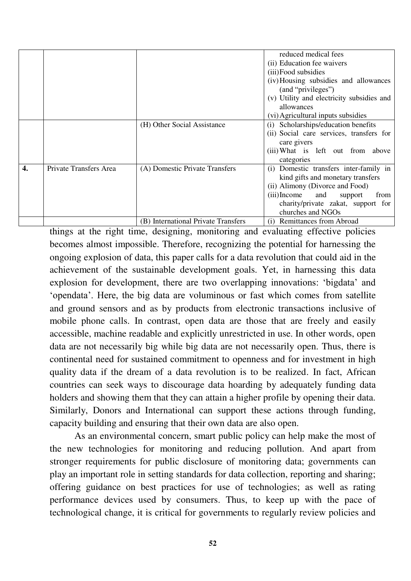|    |                        |                                     | reduced medical fees                            |
|----|------------------------|-------------------------------------|-------------------------------------------------|
|    |                        |                                     | (ii) Education fee waivers                      |
|    |                        |                                     | (iii) Food subsidies                            |
|    |                        |                                     | (iv) Housing subsidies and allowances           |
|    |                        |                                     | (and "privileges")                              |
|    |                        |                                     | (v) Utility and electricity subsidies and       |
|    |                        |                                     | allowances                                      |
|    |                        |                                     | (vi) Agricultural inputs subsidies              |
|    |                        | (H) Other Social Assistance         | (i) Scholarships/education benefits             |
|    |                        |                                     | (ii) Social care services, transfers for        |
|    |                        |                                     | care givers                                     |
|    |                        |                                     | (iii) What is left out from above<br>categories |
| 4. | Private Transfers Area | (A) Domestic Private Transfers      | Domestic transfers inter-family in<br>(i)       |
|    |                        |                                     | kind gifts and monetary transfers               |
|    |                        |                                     | (ii) Alimony (Divorce and Food)                 |
|    |                        |                                     | (iii)Income and<br>from<br>support              |
|    |                        |                                     | charity/private zakat, support for              |
|    |                        |                                     | churches and NGOs                               |
|    |                        | (B) International Private Transfers | <b>Remittances from Abroad</b><br>(i)           |

things at the right time, designing, monitoring and evaluating effective policies becomes almost impossible. Therefore, recognizing the potential for harnessing the ongoing explosion of data, this paper calls for a data revolution that could aid in the achievement of the sustainable development goals. Yet, in harnessing this data explosion for development, there are two overlapping innovations: "bigdata" and "opendata". Here, the big data are voluminous or fast which comes from satellite and ground sensors and as by products from electronic transactions inclusive of mobile phone calls. In contrast, open data are those that are freely and easily accessible, machine readable and explicitly unrestricted in use. In other words, open data are not necessarily big while big data are not necessarily open. Thus, there is continental need for sustained commitment to openness and for investment in high quality data if the dream of a data revolution is to be realized. In fact, African countries can seek ways to discourage data hoarding by adequately funding data holders and showing them that they can attain a higher profile by opening their data. Similarly, Donors and International can support these actions through funding, capacity building and ensuring that their own data are also open.

 As an environmental concern, smart public policy can help make the most of the new technologies for monitoring and reducing pollution. And apart from stronger requirements for public disclosure of monitoring data; governments can play an important role in setting standards for data collection, reporting and sharing; offering guidance on best practices for use of technologies; as well as rating performance devices used by consumers. Thus, to keep up with the pace of technological change, it is critical for governments to regularly review policies and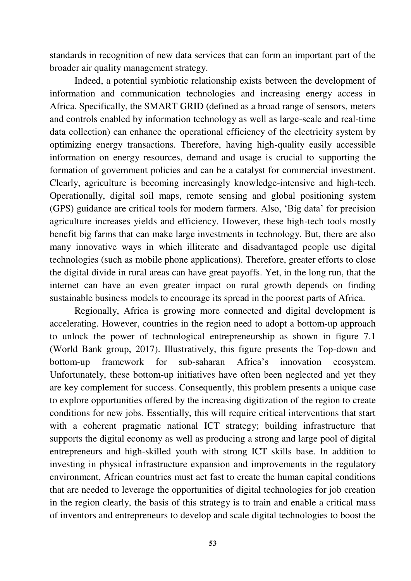standards in recognition of new data services that can form an important part of the broader air quality management strategy.

 Indeed, a potential symbiotic relationship exists between the development of information and communication technologies and increasing energy access in Africa. Specifically, the SMART GRID (defined as a broad range of sensors, meters and controls enabled by information technology as well as large-scale and real-time data collection) can enhance the operational efficiency of the electricity system by optimizing energy transactions. Therefore, having high-quality easily accessible information on energy resources, demand and usage is crucial to supporting the formation of government policies and can be a catalyst for commercial investment. Clearly, agriculture is becoming increasingly knowledge-intensive and high-tech. Operationally, digital soil maps, remote sensing and global positioning system (GPS) guidance are critical tools for modern farmers. Also, "Big data" for precision agriculture increases yields and efficiency. However, these high-tech tools mostly benefit big farms that can make large investments in technology. But, there are also many innovative ways in which illiterate and disadvantaged people use digital technologies (such as mobile phone applications). Therefore, greater efforts to close the digital divide in rural areas can have great payoffs. Yet, in the long run, that the internet can have an even greater impact on rural growth depends on finding sustainable business models to encourage its spread in the poorest parts of Africa.

 Regionally, Africa is growing more connected and digital development is accelerating. However, countries in the region need to adopt a bottom-up approach to unlock the power of technological entrepreneurship as shown in figure 7.1 (World Bank group, 2017). Illustratively, this figure presents the Top-down and bottom-up framework for sub-saharan Africa"s innovation ecosystem. Unfortunately, these bottom-up initiatives have often been neglected and yet they are key complement for success. Consequently, this problem presents a unique case to explore opportunities offered by the increasing digitization of the region to create conditions for new jobs. Essentially, this will require critical interventions that start with a coherent pragmatic national ICT strategy; building infrastructure that supports the digital economy as well as producing a strong and large pool of digital entrepreneurs and high-skilled youth with strong ICT skills base. In addition to investing in physical infrastructure expansion and improvements in the regulatory environment, African countries must act fast to create the human capital conditions that are needed to leverage the opportunities of digital technologies for job creation in the region clearly, the basis of this strategy is to train and enable a critical mass of inventors and entrepreneurs to develop and scale digital technologies to boost the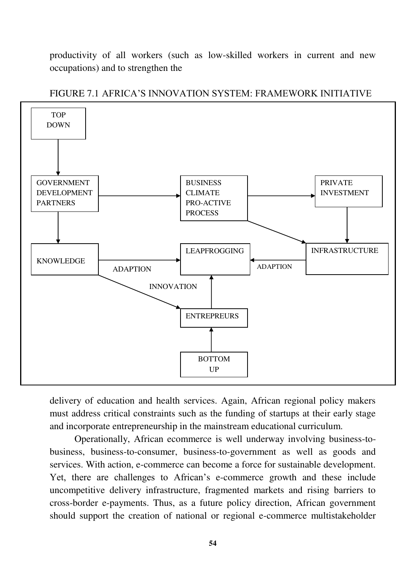productivity of all workers (such as low-skilled workers in current and new occupations) and to strengthen the





delivery of education and health services. Again, African regional policy makers must address critical constraints such as the funding of startups at their early stage and incorporate entrepreneurship in the mainstream educational curriculum.

 Operationally, African ecommerce is well underway involving business-tobusiness, business-to-consumer, business-to-government as well as goods and services. With action, e-commerce can become a force for sustainable development. Yet, there are challenges to African's e-commerce growth and these include uncompetitive delivery infrastructure, fragmented markets and rising barriers to cross-border e-payments. Thus, as a future policy direction, African government should support the creation of national or regional e-commerce multistakeholder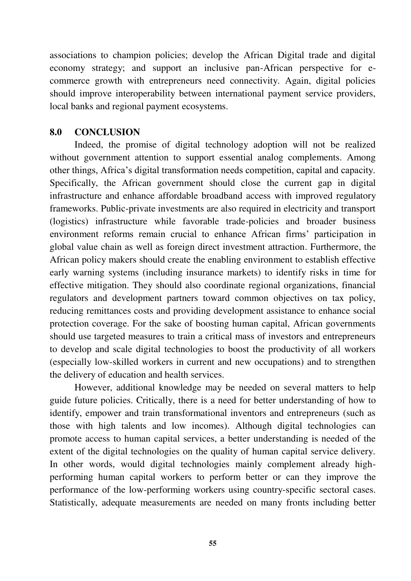associations to champion policies; develop the African Digital trade and digital economy strategy; and support an inclusive pan-African perspective for ecommerce growth with entrepreneurs need connectivity. Again, digital policies should improve interoperability between international payment service providers, local banks and regional payment ecosystems.

#### **8.0 CONCLUSION**

Indeed, the promise of digital technology adoption will not be realized without government attention to support essential analog complements. Among other things, Africa"s digital transformation needs competition, capital and capacity. Specifically, the African government should close the current gap in digital infrastructure and enhance affordable broadband access with improved regulatory frameworks. Public-private investments are also required in electricity and transport (logistics) infrastructure while favorable trade-policies and broader business environment reforms remain crucial to enhance African firms' participation in global value chain as well as foreign direct investment attraction. Furthermore, the African policy makers should create the enabling environment to establish effective early warning systems (including insurance markets) to identify risks in time for effective mitigation. They should also coordinate regional organizations, financial regulators and development partners toward common objectives on tax policy, reducing remittances costs and providing development assistance to enhance social protection coverage. For the sake of boosting human capital, African governments should use targeted measures to train a critical mass of investors and entrepreneurs to develop and scale digital technologies to boost the productivity of all workers (especially low-skilled workers in current and new occupations) and to strengthen the delivery of education and health services.

However, additional knowledge may be needed on several matters to help guide future policies. Critically, there is a need for better understanding of how to identify, empower and train transformational inventors and entrepreneurs (such as those with high talents and low incomes). Although digital technologies can promote access to human capital services, a better understanding is needed of the extent of the digital technologies on the quality of human capital service delivery. In other words, would digital technologies mainly complement already highperforming human capital workers to perform better or can they improve the performance of the low-performing workers using country-specific sectoral cases. Statistically, adequate measurements are needed on many fronts including better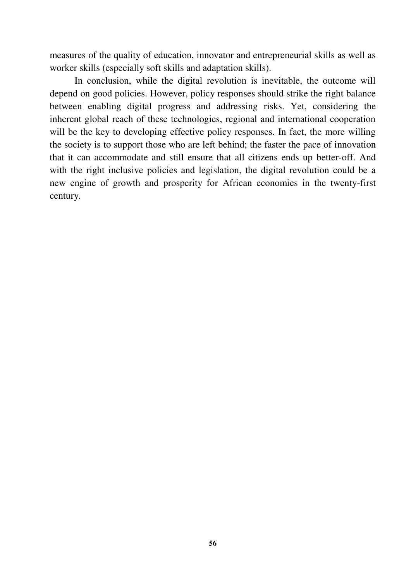measures of the quality of education, innovator and entrepreneurial skills as well as worker skills (especially soft skills and adaptation skills).

In conclusion, while the digital revolution is inevitable, the outcome will depend on good policies. However, policy responses should strike the right balance between enabling digital progress and addressing risks. Yet, considering the inherent global reach of these technologies, regional and international cooperation will be the key to developing effective policy responses. In fact, the more willing the society is to support those who are left behind; the faster the pace of innovation that it can accommodate and still ensure that all citizens ends up better-off. And with the right inclusive policies and legislation, the digital revolution could be a new engine of growth and prosperity for African economies in the twenty-first century.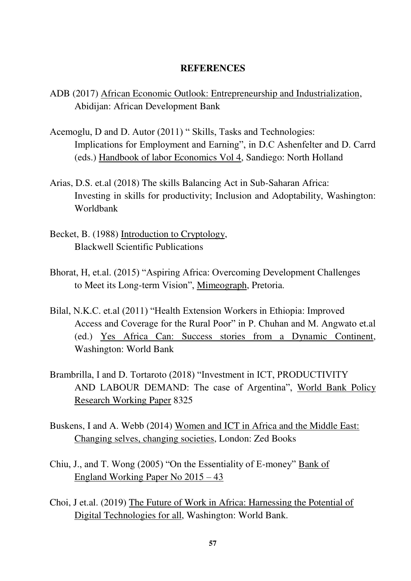#### **REFERENCES**

- ADB (2017) African Economic Outlook: Entrepreneurship and Industrialization, Abidijan: African Development Bank
- Acemoglu, D and D. Autor (2011) " Skills, Tasks and Technologies: Implications for Employment and Earning", in D.C Ashenfelter and D. Carrd (eds.) Handbook of labor Economics Vol 4, Sandiego: North Holland
- Arias, D.S. et.al (2018) The skills Balancing Act in Sub-Saharan Africa: Investing in skills for productivity; Inclusion and Adoptability, Washington: Worldbank
- Becket, B. (1988) Introduction to Cryptology, Blackwell Scientific Publications
- Bhorat, H, et.al. (2015) "Aspiring Africa: Overcoming Development Challenges to Meet its Long-term Vision", Mimeograph, Pretoria.
- Bilal, N.K.C. et.al (2011) "Health Extension Workers in Ethiopia: Improved Access and Coverage for the Rural Poor" in P. Chuhan and M. Angwato et.al (ed.) Yes Africa Can: Success stories from a Dynamic Continent, Washington: World Bank
- Brambrilla, I and D. Tortaroto (2018) "Investment in ICT, PRODUCTIVITY AND LABOUR DEMAND: The case of Argentina", World Bank Policy Research Working Paper 8325
- Buskens, I and A. Webb (2014) Women and ICT in Africa and the Middle East: Changing selves, changing societies, London: Zed Books
- Chiu, J., and T. Wong (2005) "On the Essentiality of E-money" Bank of England Working Paper No 2015 – 43
- Choi, J et.al. (2019) The Future of Work in Africa: Harnessing the Potential of Digital Technologies for all, Washington: World Bank.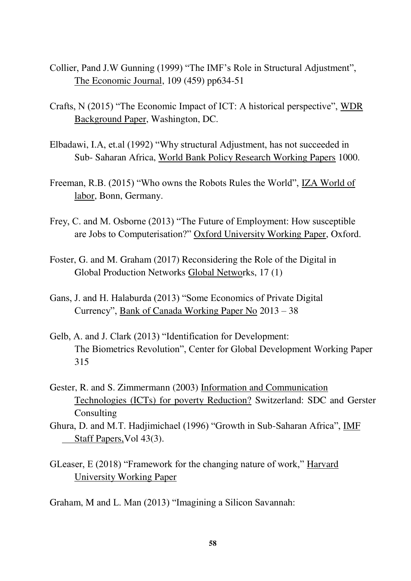- Collier, Pand J.W Gunning (1999) "The IMF"s Role in Structural Adjustment", The Economic Journal, 109 (459) pp634-51
- Crafts, N (2015) "The Economic Impact of ICT: A historical perspective", WDR Background Paper, Washington, DC.
- Elbadawi, I.A, et.al (1992) "Why structural Adjustment, has not succeeded in Sub- Saharan Africa, World Bank Policy Research Working Papers 1000.
- Freeman, R.B. (2015) "Who owns the Robots Rules the World", IZA World of labor, Bonn, Germany.
- Frey, C. and M. Osborne (2013) "The Future of Employment: How susceptible are Jobs to Computerisation?" Oxford University Working Paper, Oxford.
- Foster, G. and M. Graham (2017) Reconsidering the Role of the Digital in Global Production Networks Global Networks, 17 (1)
- Gans, J. and H. Halaburda (2013) "Some Economics of Private Digital Currency", Bank of Canada Working Paper No 2013 – 38
- Gelb, A. and J. Clark (2013) "Identification for Development: The Biometrics Revolution", Center for Global Development Working Paper 315
- Gester, R. and S. Zimmermann (2003) Information and Communication Technologies (ICTs) for poverty Reduction? Switzerland: SDC and Gerster **Consulting**
- Ghura, D. and M.T. Hadjimichael (1996) "Growth in Sub-Saharan Africa", IMF Staff Papers,Vol 43(3).
- GLeaser, E (2018) "Framework for the changing nature of work," Harvard University Working Paper

Graham, M and L. Man (2013) "Imagining a Silicon Savannah: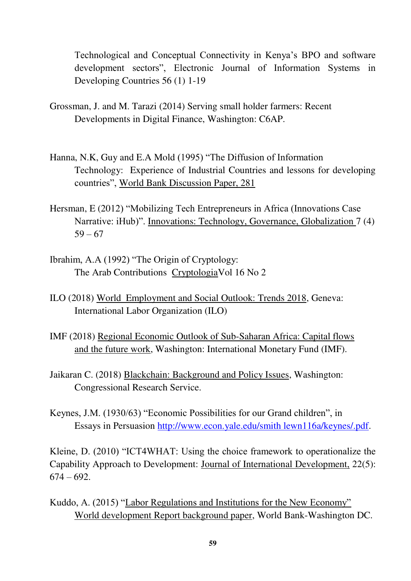Technological and Conceptual Connectivity in Kenya"s BPO and software development sectors", Electronic Journal of Information Systems in Developing Countries 56 (1) 1-19

- Grossman, J. and M. Tarazi (2014) Serving small holder farmers: Recent Developments in Digital Finance, Washington: C6AP.
- Hanna, N.K, Guy and E.A Mold (1995) "The Diffusion of Information Technology: Experience of Industrial Countries and lessons for developing countries", World Bank Discussion Paper, 281
- Hersman, E (2012) "Mobilizing Tech Entrepreneurs in Africa (Innovations Case Narrative: iHub)". Innovations: Technology, Governance, Globalization 7 (4)  $59 - 67$
- Ibrahim, A.A (1992) "The Origin of Cryptology: The Arab Contributions CryptologiaVol 16 No 2
- ILO (2018) World Employment and Social Outlook: Trends 2018, Geneva: International Labor Organization (ILO)
- IMF (2018) Regional Economic Outlook of Sub-Saharan Africa: Capital flows and the future work, Washington: International Monetary Fund (IMF).
- Jaikaran C. (2018) Blackchain: Background and Policy Issues, Washington: Congressional Research Service.
- Keynes, J.M. (1930/63) "Economic Possibilities for our Grand children", in Essays in Persuasion [http://www.econ.yale.edu/smith lewn116a/keynes/.pdf.](http://www.econ.yale.edu/smith%20lewn116a/keynes/.pdf)

Kleine, D. (2010) "ICT4WHAT: Using the choice framework to operationalize the Capability Approach to Development: Journal of International Development, 22(5):  $674 - 692.$ 

Kuddo, A. (2015) "Labor Regulations and Institutions for the New Economy" World development Report background paper, World Bank-Washington DC.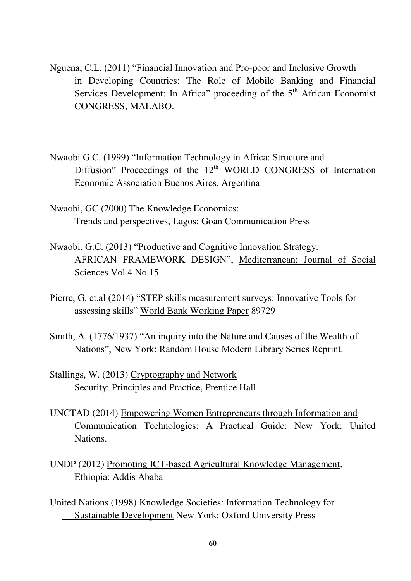- Nguena, C.L. (2011) "Financial Innovation and Pro-poor and Inclusive Growth in Developing Countries: The Role of Mobile Banking and Financial Services Development: In Africa" proceeding of the  $5<sup>th</sup>$  African Economist CONGRESS, MALABO.
- Nwaobi G.C. (1999) "Information Technology in Africa: Structure and Diffusion" Proceedings of the  $12<sup>th</sup>$  WORLD CONGRESS of Internation Economic Association Buenos Aires, Argentina
- Nwaobi, GC (2000) The Knowledge Economics: Trends and perspectives, Lagos: Goan Communication Press
- Nwaobi, G.C. (2013) "Productive and Cognitive Innovation Strategy: AFRICAN FRAMEWORK DESIGN", Mediterranean: Journal of Social Sciences Vol 4 No 15
- Pierre, G. et.al (2014) "STEP skills measurement surveys: Innovative Tools for assessing skills" World Bank Working Paper 89729
- Smith, A. (1776/1937) "An inquiry into the Nature and Causes of the Wealth of Nations", New York: Random House Modern Library Series Reprint.
- Stallings, W. (2013) Cryptography and Network Security: Principles and Practice, Prentice Hall
- UNCTAD (2014) Empowering Women Entrepreneurs through Information and Communication Technologies: A Practical Guide: New York: United Nations.
- UNDP (2012) Promoting ICT-based Agricultural Knowledge Management, Ethiopia: Addis Ababa
- United Nations (1998) Knowledge Societies: Information Technology for Sustainable Development New York: Oxford University Press